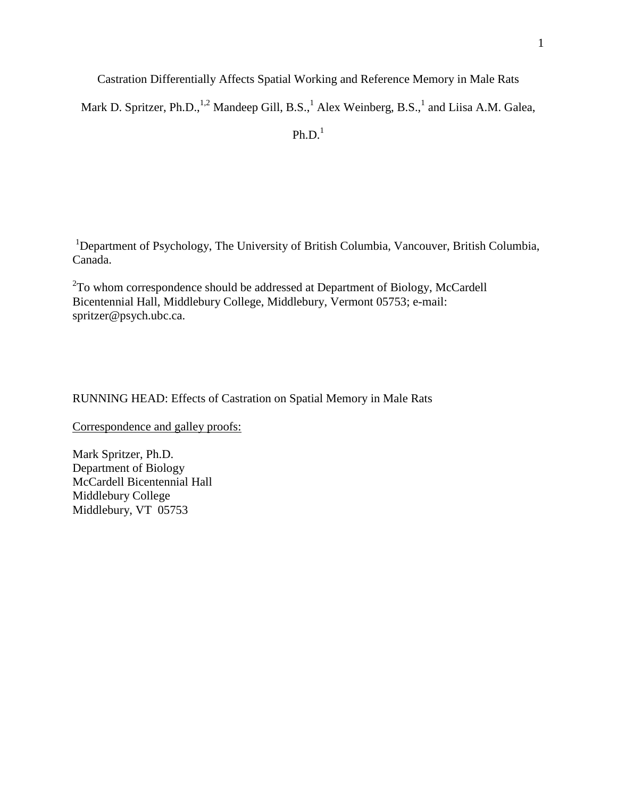Castration Differentially Affects Spatial Working and Reference Memory in Male Rats

Mark D. Spritzer, Ph.D., $^{1,2}$  Mandeep Gill, B.S., $^1$  Alex Weinberg, B.S., $^1$  and Liisa A.M. Galea,

 $Ph.D.<sup>1</sup>$ 

<sup>1</sup>Department of Psychology, The University of British Columbia, Vancouver, British Columbia, Canada.

 $2^2$ To whom correspondence should be addressed at Department of Biology, McCardell Bicentennial Hall, Middlebury College, Middlebury, Vermont 05753; e-mail: [spritzer@psych.ubc.ca.](mailto:spritzer@psych.ubc.ca)

RUNNING HEAD: Effects of Castration on Spatial Memory in Male Rats

Correspondence and galley proofs:

Mark Spritzer, Ph.D. Department of Biology McCardell Bicentennial Hall Middlebury College Middlebury, VT 05753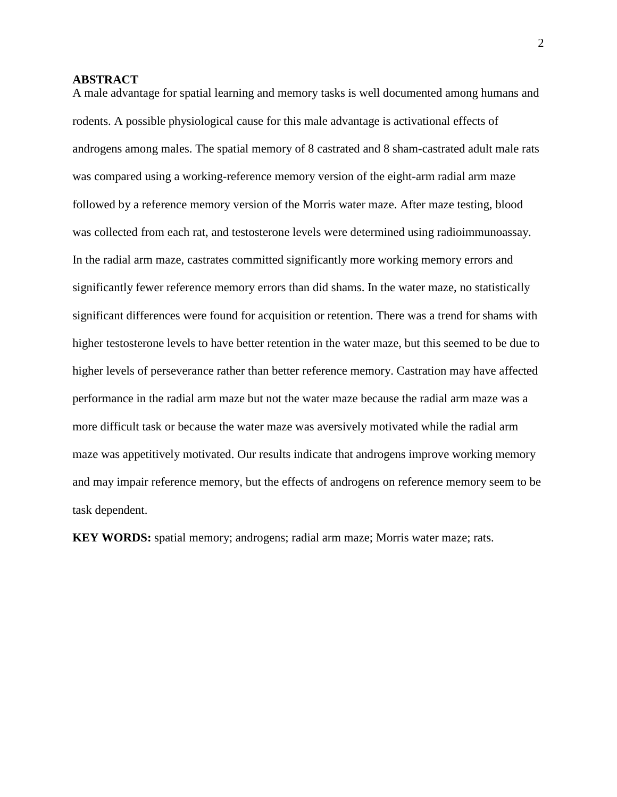# **ABSTRACT**

A male advantage for spatial learning and memory tasks is well documented among humans and rodents. A possible physiological cause for this male advantage is activational effects of androgens among males. The spatial memory of 8 castrated and 8 sham-castrated adult male rats was compared using a working-reference memory version of the eight-arm radial arm maze followed by a reference memory version of the Morris water maze. After maze testing, blood was collected from each rat, and testosterone levels were determined using radioimmunoassay. In the radial arm maze, castrates committed significantly more working memory errors and significantly fewer reference memory errors than did shams. In the water maze, no statistically significant differences were found for acquisition or retention. There was a trend for shams with higher testosterone levels to have better retention in the water maze, but this seemed to be due to higher levels of perseverance rather than better reference memory. Castration may have affected performance in the radial arm maze but not the water maze because the radial arm maze was a more difficult task or because the water maze was aversively motivated while the radial arm maze was appetitively motivated. Our results indicate that androgens improve working memory and may impair reference memory, but the effects of androgens on reference memory seem to be task dependent.

**KEY WORDS:** spatial memory; androgens; radial arm maze; Morris water maze; rats.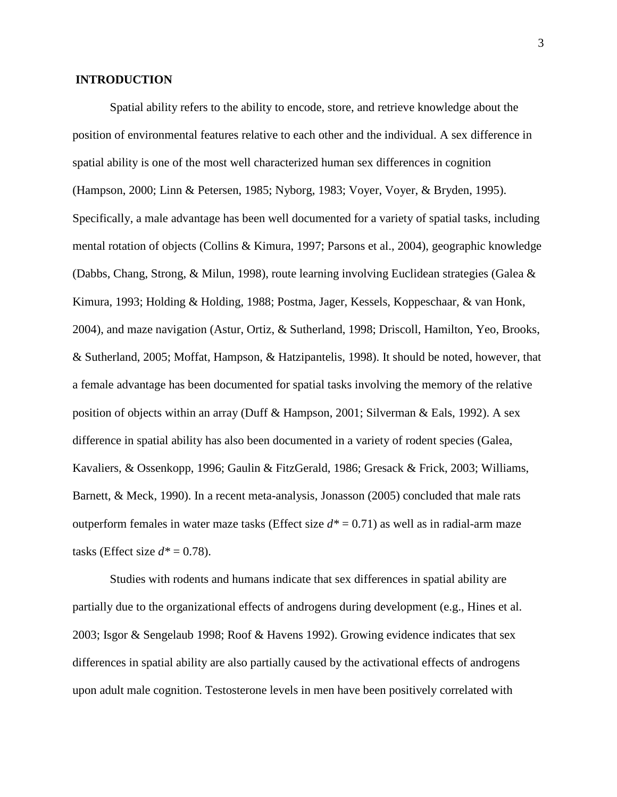## **INTRODUCTION**

Spatial ability refers to the ability to encode, store, and retrieve knowledge about the position of environmental features relative to each other and the individual. A sex difference in spatial ability is one of the most well characterized human sex differences in cognition (Hampson, 2000; Linn & Petersen, 1985; Nyborg, 1983; Voyer, Voyer, & Bryden, 1995). Specifically, a male advantage has been well documented for a variety of spatial tasks, including mental rotation of objects (Collins & Kimura, 1997; Parsons et al., 2004), geographic knowledge (Dabbs, Chang, Strong, & Milun, 1998), route learning involving Euclidean strategies (Galea & Kimura, 1993; Holding & Holding, 1988; Postma, Jager, Kessels, Koppeschaar, & van Honk, 2004), and maze navigation (Astur, Ortiz, & Sutherland, 1998; Driscoll, Hamilton, Yeo, Brooks, & Sutherland, 2005; Moffat, Hampson, & Hatzipantelis, 1998). It should be noted, however, that a female advantage has been documented for spatial tasks involving the memory of the relative position of objects within an array (Duff & Hampson, 2001; Silverman & Eals, 1992). A sex difference in spatial ability has also been documented in a variety of rodent species (Galea, Kavaliers, & Ossenkopp, 1996; Gaulin & FitzGerald, 1986; Gresack & Frick, 2003; Williams, Barnett, & Meck, 1990). In a recent meta-analysis, Jonasson (2005) concluded that male rats outperform females in water maze tasks (Effect size  $d^* = 0.71$ ) as well as in radial-arm maze tasks (Effect size  $d^* = 0.78$ ).

Studies with rodents and humans indicate that sex differences in spatial ability are partially due to the organizational effects of androgens during development (e.g., Hines et al. 2003; Isgor & Sengelaub 1998; Roof & Havens 1992). Growing evidence indicates that sex differences in spatial ability are also partially caused by the activational effects of androgens upon adult male cognition. Testosterone levels in men have been positively correlated with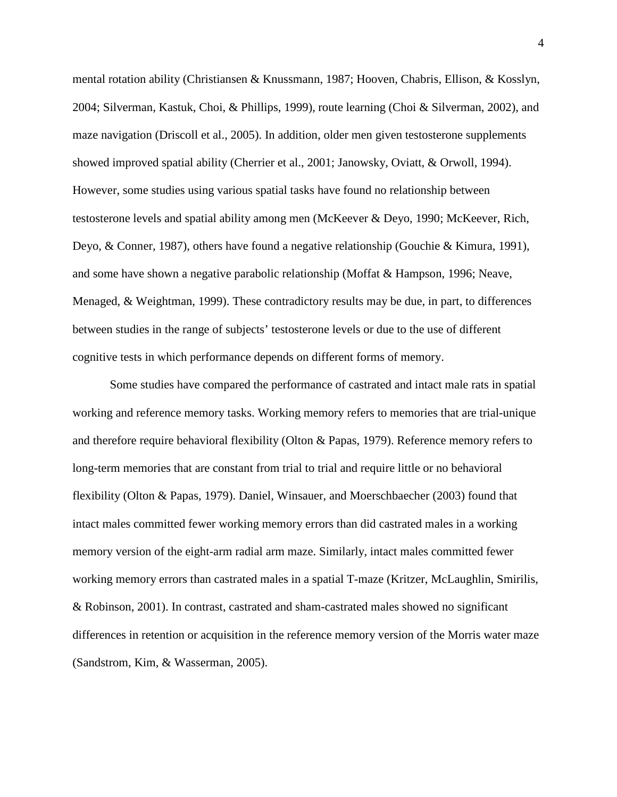mental rotation ability (Christiansen & Knussmann, 1987; Hooven, Chabris, Ellison, & Kosslyn, 2004; Silverman, Kastuk, Choi, & Phillips, 1999), route learning (Choi & Silverman, 2002), and maze navigation (Driscoll et al., 2005). In addition, older men given testosterone supplements showed improved spatial ability (Cherrier et al., 2001; Janowsky, Oviatt, & Orwoll, 1994). However, some studies using various spatial tasks have found no relationship between testosterone levels and spatial ability among men (McKeever & Deyo, 1990; McKeever, Rich, Deyo, & Conner, 1987), others have found a negative relationship (Gouchie & Kimura, 1991), and some have shown a negative parabolic relationship (Moffat & Hampson, 1996; Neave, Menaged, & Weightman, 1999). These contradictory results may be due, in part, to differences between studies in the range of subjects' testosterone levels or due to the use of different cognitive tests in which performance depends on different forms of memory.

Some studies have compared the performance of castrated and intact male rats in spatial working and reference memory tasks. Working memory refers to memories that are trial-unique and therefore require behavioral flexibility (Olton & Papas, 1979). Reference memory refers to long-term memories that are constant from trial to trial and require little or no behavioral flexibility (Olton & Papas, 1979). Daniel, Winsauer, and Moerschbaecher (2003) found that intact males committed fewer working memory errors than did castrated males in a working memory version of the eight-arm radial arm maze. Similarly, intact males committed fewer working memory errors than castrated males in a spatial T-maze (Kritzer, McLaughlin, Smirilis, & Robinson, 2001). In contrast, castrated and sham-castrated males showed no significant differences in retention or acquisition in the reference memory version of the Morris water maze (Sandstrom, Kim, & Wasserman, 2005).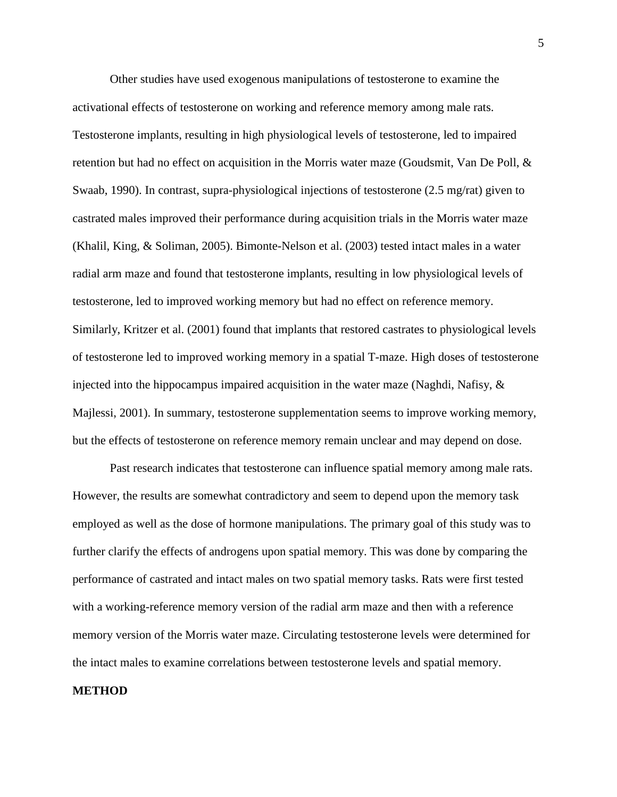Other studies have used exogenous manipulations of testosterone to examine the activational effects of testosterone on working and reference memory among male rats. Testosterone implants, resulting in high physiological levels of testosterone, led to impaired retention but had no effect on acquisition in the Morris water maze (Goudsmit, Van De Poll, & Swaab, 1990). In contrast, supra-physiological injections of testosterone (2.5 mg/rat) given to castrated males improved their performance during acquisition trials in the Morris water maze (Khalil, King, & Soliman, 2005). Bimonte-Nelson et al. (2003) tested intact males in a water radial arm maze and found that testosterone implants, resulting in low physiological levels of testosterone, led to improved working memory but had no effect on reference memory. Similarly, Kritzer et al. (2001) found that implants that restored castrates to physiological levels of testosterone led to improved working memory in a spatial T-maze. High doses of testosterone injected into the hippocampus impaired acquisition in the water maze (Naghdi, Nafisy,  $\&$ Majlessi, 2001). In summary, testosterone supplementation seems to improve working memory, but the effects of testosterone on reference memory remain unclear and may depend on dose.

Past research indicates that testosterone can influence spatial memory among male rats. However, the results are somewhat contradictory and seem to depend upon the memory task employed as well as the dose of hormone manipulations. The primary goal of this study was to further clarify the effects of androgens upon spatial memory. This was done by comparing the performance of castrated and intact males on two spatial memory tasks. Rats were first tested with a working-reference memory version of the radial arm maze and then with a reference memory version of the Morris water maze. Circulating testosterone levels were determined for the intact males to examine correlations between testosterone levels and spatial memory.

#### **METHOD**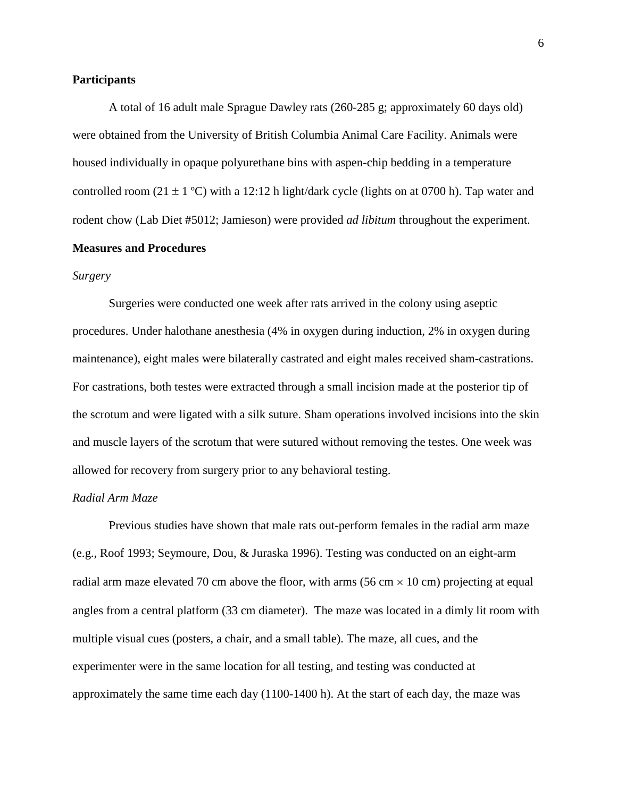### **Participants**

A total of 16 adult male Sprague Dawley rats (260-285 g; approximately 60 days old) were obtained from the University of British Columbia Animal Care Facility. Animals were housed individually in opaque polyurethane bins with aspen-chip bedding in a temperature controlled room (21  $\pm$  1 °C) with a 12:12 h light/dark cycle (lights on at 0700 h). Tap water and rodent chow (Lab Diet #5012; Jamieson) were provided *ad libitum* throughout the experiment. **Measures and Procedures**

#### *Surgery*

Surgeries were conducted one week after rats arrived in the colony using aseptic procedures. Under halothane anesthesia (4% in oxygen during induction, 2% in oxygen during maintenance), eight males were bilaterally castrated and eight males received sham-castrations. For castrations, both testes were extracted through a small incision made at the posterior tip of the scrotum and were ligated with a silk suture. Sham operations involved incisions into the skin and muscle layers of the scrotum that were sutured without removing the testes. One week was allowed for recovery from surgery prior to any behavioral testing.

# *Radial Arm Maze*

Previous studies have shown that male rats out-perform females in the radial arm maze (e.g., Roof 1993; Seymoure, Dou, & Juraska 1996). Testing was conducted on an eight-arm radial arm maze elevated 70 cm above the floor, with arms (56 cm  $\times$  10 cm) projecting at equal angles from a central platform (33 cm diameter). The maze was located in a dimly lit room with multiple visual cues (posters, a chair, and a small table). The maze, all cues, and the experimenter were in the same location for all testing, and testing was conducted at approximately the same time each day (1100-1400 h). At the start of each day, the maze was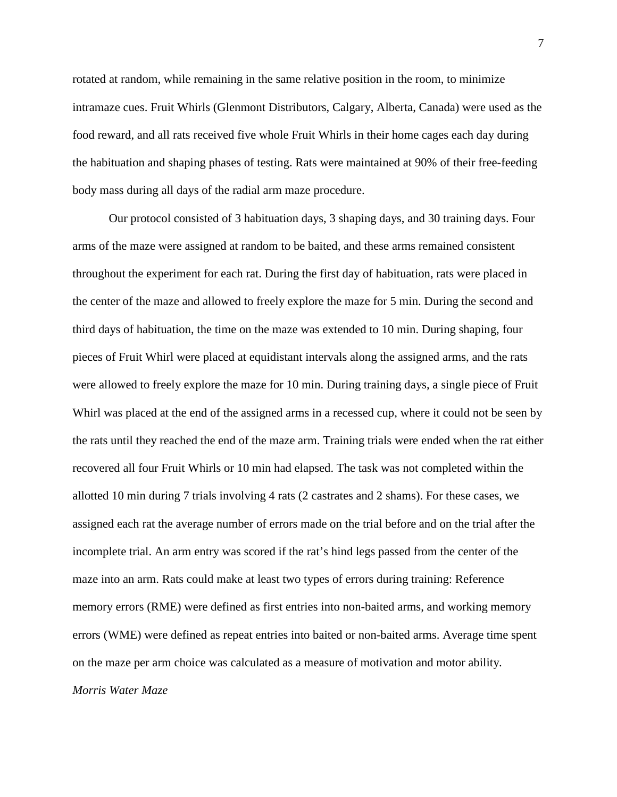rotated at random, while remaining in the same relative position in the room, to minimize intramaze cues. Fruit Whirls (Glenmont Distributors, Calgary, Alberta, Canada) were used as the food reward, and all rats received five whole Fruit Whirls in their home cages each day during the habituation and shaping phases of testing. Rats were maintained at 90% of their free-feeding body mass during all days of the radial arm maze procedure.

Our protocol consisted of 3 habituation days, 3 shaping days, and 30 training days. Four arms of the maze were assigned at random to be baited, and these arms remained consistent throughout the experiment for each rat. During the first day of habituation, rats were placed in the center of the maze and allowed to freely explore the maze for 5 min. During the second and third days of habituation, the time on the maze was extended to 10 min. During shaping, four pieces of Fruit Whirl were placed at equidistant intervals along the assigned arms, and the rats were allowed to freely explore the maze for 10 min. During training days, a single piece of Fruit Whirl was placed at the end of the assigned arms in a recessed cup, where it could not be seen by the rats until they reached the end of the maze arm. Training trials were ended when the rat either recovered all four Fruit Whirls or 10 min had elapsed. The task was not completed within the allotted 10 min during 7 trials involving 4 rats (2 castrates and 2 shams). For these cases, we assigned each rat the average number of errors made on the trial before and on the trial after the incomplete trial. An arm entry was scored if the rat's hind legs passed from the center of the maze into an arm. Rats could make at least two types of errors during training: Reference memory errors (RME) were defined as first entries into non-baited arms, and working memory errors (WME) were defined as repeat entries into baited or non-baited arms. Average time spent on the maze per arm choice was calculated as a measure of motivation and motor ability. *Morris Water Maze*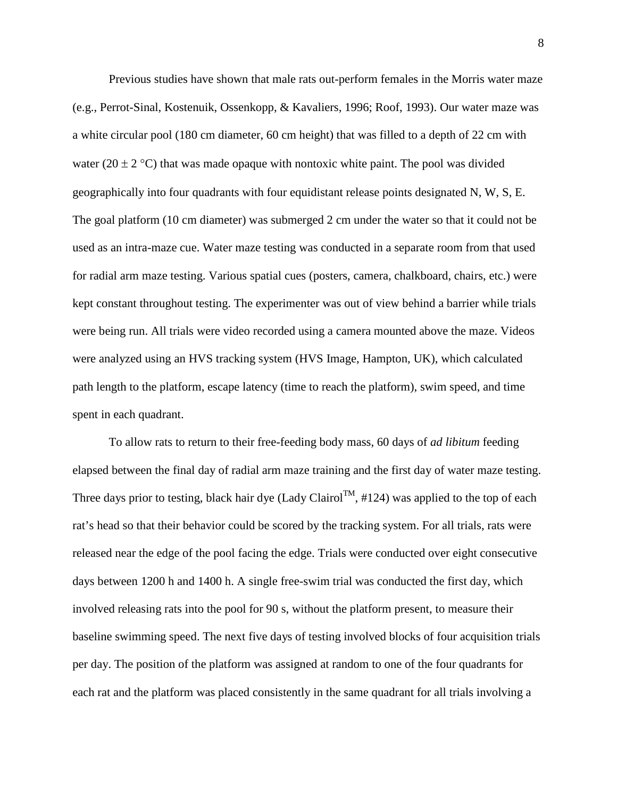Previous studies have shown that male rats out-perform females in the Morris water maze (e.g., Perrot-Sinal, Kostenuik, Ossenkopp, & Kavaliers, 1996; Roof, 1993). Our water maze was a white circular pool (180 cm diameter, 60 cm height) that was filled to a depth of 22 cm with water (20  $\pm$  2 °C) that was made opaque with nontoxic white paint. The pool was divided geographically into four quadrants with four equidistant release points designated N, W, S, E. The goal platform (10 cm diameter) was submerged 2 cm under the water so that it could not be used as an intra-maze cue. Water maze testing was conducted in a separate room from that used for radial arm maze testing. Various spatial cues (posters, camera, chalkboard, chairs, etc.) were kept constant throughout testing. The experimenter was out of view behind a barrier while trials were being run. All trials were video recorded using a camera mounted above the maze. Videos were analyzed using an HVS tracking system (HVS Image, Hampton, UK), which calculated path length to the platform, escape latency (time to reach the platform), swim speed, and time spent in each quadrant.

To allow rats to return to their free-feeding body mass, 60 days of *ad libitum* feeding elapsed between the final day of radial arm maze training and the first day of water maze testing. Three days prior to testing, black hair dye (Lady Clairol<sup>TM</sup>, #124) was applied to the top of each rat's head so that their behavior could be scored by the tracking system. For all trials, rats were released near the edge of the pool facing the edge. Trials were conducted over eight consecutive days between 1200 h and 1400 h. A single free-swim trial was conducted the first day, which involved releasing rats into the pool for 90 s, without the platform present, to measure their baseline swimming speed. The next five days of testing involved blocks of four acquisition trials per day. The position of the platform was assigned at random to one of the four quadrants for each rat and the platform was placed consistently in the same quadrant for all trials involving a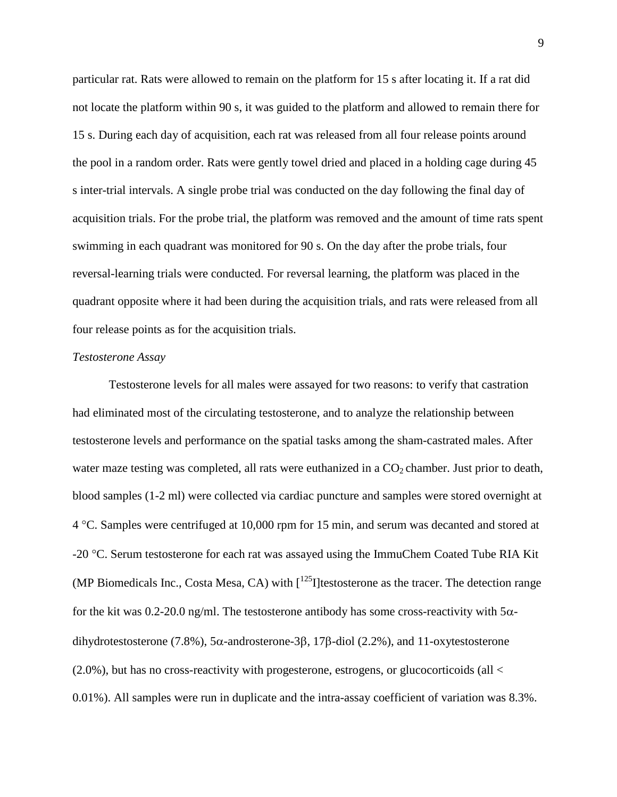particular rat. Rats were allowed to remain on the platform for 15 s after locating it. If a rat did not locate the platform within 90 s, it was guided to the platform and allowed to remain there for 15 s. During each day of acquisition, each rat was released from all four release points around the pool in a random order. Rats were gently towel dried and placed in a holding cage during 45 s inter-trial intervals. A single probe trial was conducted on the day following the final day of acquisition trials. For the probe trial, the platform was removed and the amount of time rats spent swimming in each quadrant was monitored for 90 s. On the day after the probe trials, four reversal-learning trials were conducted. For reversal learning, the platform was placed in the quadrant opposite where it had been during the acquisition trials, and rats were released from all four release points as for the acquisition trials.

#### *Testosterone Assay*

Testosterone levels for all males were assayed for two reasons: to verify that castration had eliminated most of the circulating testosterone, and to analyze the relationship between testosterone levels and performance on the spatial tasks among the sham-castrated males. After water maze testing was completed, all rats were euthanized in a  $CO<sub>2</sub>$  chamber. Just prior to death, blood samples (1-2 ml) were collected via cardiac puncture and samples were stored overnight at 4 °C. Samples were centrifuged at 10,000 rpm for 15 min, and serum was decanted and stored at -20 °C. Serum testosterone for each rat was assayed using the ImmuChem Coated Tube RIA Kit (MP Biomedicals Inc., Costa Mesa, CA) with  $\int^{125}$ I]testosterone as the tracer. The detection range for the kit was 0.2-20.0 ng/ml. The testosterone antibody has some cross-reactivity with  $5\alpha$ dihydrotestosterone (7.8%), 5α-androsterone-3β, 17β-diol (2.2%), and 11-oxytestosterone  $(2.0\%)$ , but has no cross-reactivity with progesterone, estrogens, or glucocorticoids (all  $\leq$ 0.01%). All samples were run in duplicate and the intra-assay coefficient of variation was 8.3%.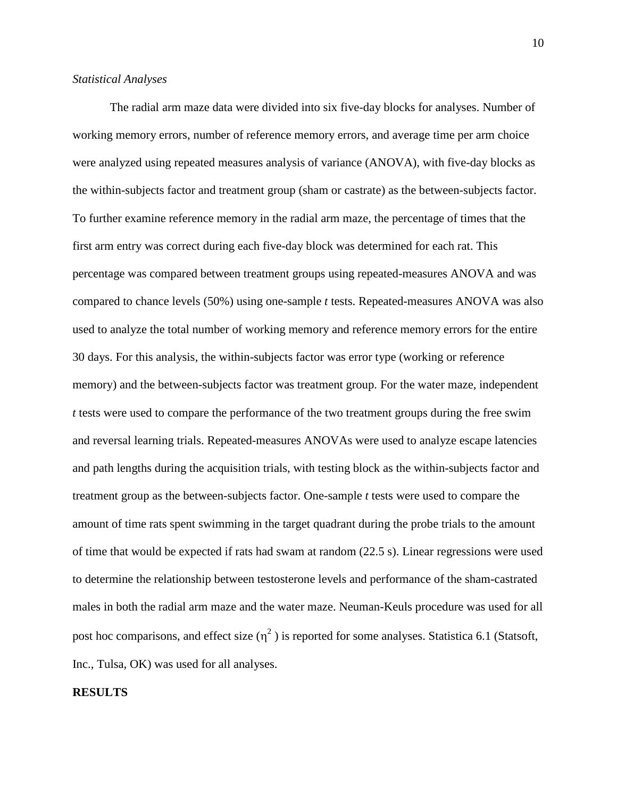#### *Statistical Analyses*

The radial arm maze data were divided into six five-day blocks for analyses. Number of working memory errors, number of reference memory errors, and average time per arm choice were analyzed using repeated measures analysis of variance (ANOVA), with five-day blocks as the within-subjects factor and treatment group (sham or castrate) as the between-subjects factor. To further examine reference memory in the radial arm maze, the percentage of times that the first arm entry was correct during each five-day block was determined for each rat. This percentage was compared between treatment groups using repeated-measures ANOVA and was compared to chance levels (50%) using one-sample *t* tests. Repeated-measures ANOVA was also used to analyze the total number of working memory and reference memory errors for the entire 30 days. For this analysis, the within-subjects factor was error type (working or reference memory) and the between-subjects factor was treatment group. For the water maze, independent *t* tests were used to compare the performance of the two treatment groups during the free swim and reversal learning trials. Repeated-measures ANOVAs were used to analyze escape latencies and path lengths during the acquisition trials, with testing block as the within-subjects factor and treatment group as the between-subjects factor. One-sample *t* tests were used to compare the amount of time rats spent swimming in the target quadrant during the probe trials to the amount of time that would be expected if rats had swam at random (22.5 s). Linear regressions were used to determine the relationship between testosterone levels and performance of the sham-castrated males in both the radial arm maze and the water maze. Neuman-Keuls procedure was used for all post hoc comparisons, and effect size  $(\eta^2)$  is reported for some analyses. Statistica 6.1 (Statsoft, Inc., Tulsa, OK) was used for all analyses.

### **RESULTS**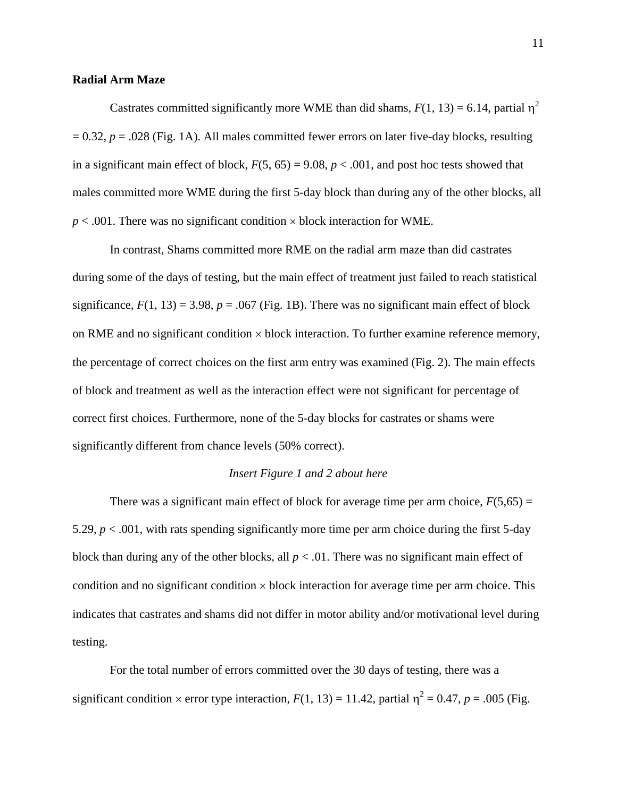#### **Radial Arm Maze**

Castrates committed significantly more WME than did shams,  $F(1, 13) = 6.14$ , partial  $\eta^2$  $= 0.32$ ,  $p = .028$  (Fig. 1A). All males committed fewer errors on later five-day blocks, resulting in a significant main effect of block,  $F(5, 65) = 9.08$ ,  $p < .001$ , and post hoc tests showed that males committed more WME during the first 5-day block than during any of the other blocks, all  $p < .001$ . There was no significant condition  $\times$  block interaction for WME.

In contrast, Shams committed more RME on the radial arm maze than did castrates during some of the days of testing, but the main effect of treatment just failed to reach statistical significance,  $F(1, 13) = 3.98$ ,  $p = .067$  (Fig. 1B). There was no significant main effect of block on RME and no significant condition  $\times$  block interaction. To further examine reference memory, the percentage of correct choices on the first arm entry was examined (Fig. 2). The main effects of block and treatment as well as the interaction effect were not significant for percentage of correct first choices. Furthermore, none of the 5-day blocks for castrates or shams were significantly different from chance levels (50% correct).

# *Insert Figure 1 and 2 about here*

There was a significant main effect of block for average time per arm choice,  $F(5,65) =$ 5.29,  $p < .001$ , with rats spending significantly more time per arm choice during the first 5-day block than during any of the other blocks, all  $p < .01$ . There was no significant main effect of condition and no significant condition  $\times$  block interaction for average time per arm choice. This indicates that castrates and shams did not differ in motor ability and/or motivational level during testing.

For the total number of errors committed over the 30 days of testing, there was a significant condition  $\times$  error type interaction,  $F(1, 13) = 11.42$ , partial  $\eta^2 = 0.47$ ,  $p = .005$  (Fig.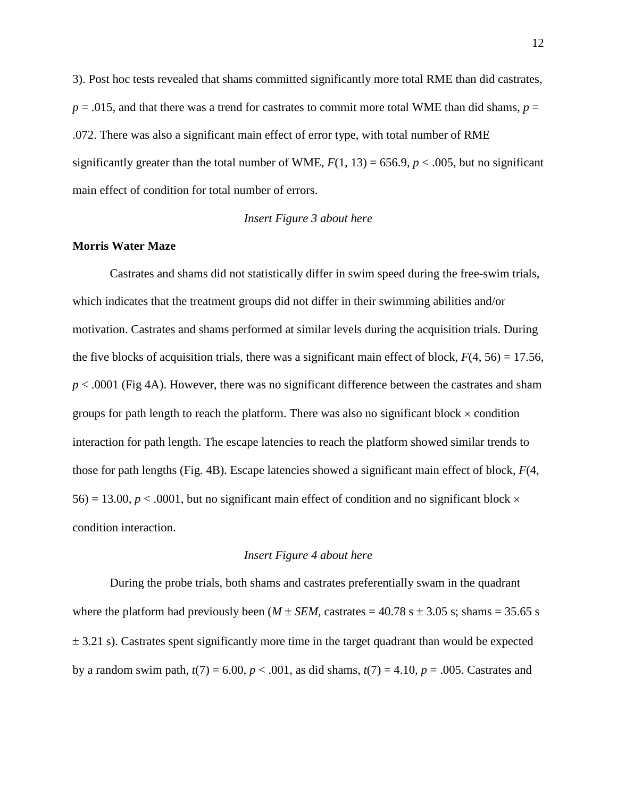3). Post hoc tests revealed that shams committed significantly more total RME than did castrates,  $p = .015$ , and that there was a trend for castrates to commit more total WME than did shams,  $p =$ .072. There was also a significant main effect of error type, with total number of RME significantly greater than the total number of WME,  $F(1, 13) = 656.9$ ,  $p < .005$ , but no significant main effect of condition for total number of errors.

#### *Insert Figure 3 about here*

#### **Morris Water Maze**

Castrates and shams did not statistically differ in swim speed during the free-swim trials, which indicates that the treatment groups did not differ in their swimming abilities and/or motivation. Castrates and shams performed at similar levels during the acquisition trials. During the five blocks of acquisition trials, there was a significant main effect of block,  $F(4, 56) = 17.56$ , *p* < .0001 (Fig 4A). However, there was no significant difference between the castrates and sham groups for path length to reach the platform. There was also no significant block  $\times$  condition interaction for path length. The escape latencies to reach the platform showed similar trends to those for path lengths (Fig. 4B). Escape latencies showed a significant main effect of block, *F*(4,  $56$ ) = 13.00,  $p < .0001$ , but no significant main effect of condition and no significant block  $\times$ condition interaction.

### *Insert Figure 4 about here*

During the probe trials, both shams and castrates preferentially swam in the quadrant where the platform had previously been ( $M \pm SEM$ , castrates = 40.78 s  $\pm$  3.05 s; shams = 35.65 s  $\pm$  3.21 s). Castrates spent significantly more time in the target quadrant than would be expected by a random swim path,  $t(7) = 6.00$ ,  $p < .001$ , as did shams,  $t(7) = 4.10$ ,  $p = .005$ . Castrates and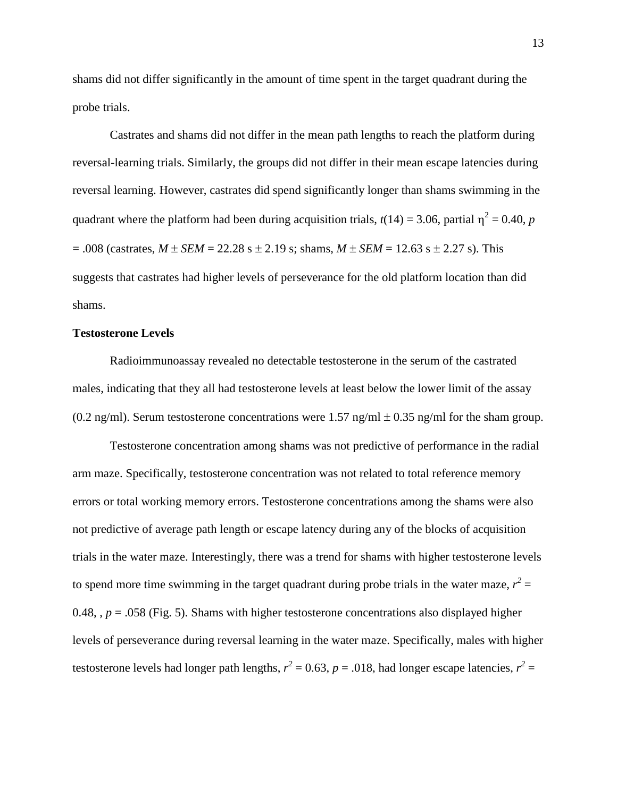shams did not differ significantly in the amount of time spent in the target quadrant during the probe trials.

Castrates and shams did not differ in the mean path lengths to reach the platform during reversal-learning trials. Similarly, the groups did not differ in their mean escape latencies during reversal learning. However, castrates did spend significantly longer than shams swimming in the quadrant where the platform had been during acquisition trials,  $t(14) = 3.06$ , partial  $\eta^2 = 0.40$ , *p*  $= .008$  (castrates,  $M \pm SEM = 22.28$  s  $\pm 2.19$  s; shams,  $M \pm SEM = 12.63$  s  $\pm 2.27$  s). This suggests that castrates had higher levels of perseverance for the old platform location than did shams.

# **Testosterone Levels**

Radioimmunoassay revealed no detectable testosterone in the serum of the castrated males, indicating that they all had testosterone levels at least below the lower limit of the assay (0.2 ng/ml). Serum testosterone concentrations were 1.57 ng/ml  $\pm$  0.35 ng/ml for the sham group.

Testosterone concentration among shams was not predictive of performance in the radial arm maze. Specifically, testosterone concentration was not related to total reference memory errors or total working memory errors. Testosterone concentrations among the shams were also not predictive of average path length or escape latency during any of the blocks of acquisition trials in the water maze. Interestingly, there was a trend for shams with higher testosterone levels to spend more time swimming in the target quadrant during probe trials in the water maze,  $r^2 =$ 0.48,  $p = 0.058$  (Fig. 5). Shams with higher testosterone concentrations also displayed higher levels of perseverance during reversal learning in the water maze. Specifically, males with higher testosterone levels had longer path lengths,  $r^2 = 0.63$ ,  $p = .018$ , had longer escape latencies,  $r^2 =$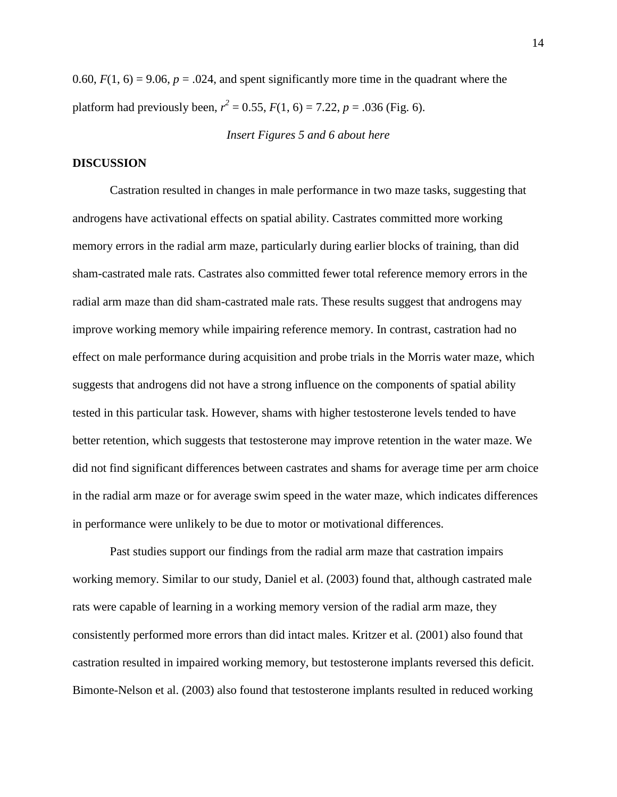0.60,  $F(1, 6) = 9.06$ ,  $p = .024$ , and spent significantly more time in the quadrant where the platform had previously been,  $r^2 = 0.55$ ,  $F(1, 6) = 7.22$ ,  $p = .036$  (Fig. 6).

#### *Insert Figures 5 and 6 about here*

### **DISCUSSION**

Castration resulted in changes in male performance in two maze tasks, suggesting that androgens have activational effects on spatial ability. Castrates committed more working memory errors in the radial arm maze, particularly during earlier blocks of training, than did sham-castrated male rats. Castrates also committed fewer total reference memory errors in the radial arm maze than did sham-castrated male rats. These results suggest that androgens may improve working memory while impairing reference memory. In contrast, castration had no effect on male performance during acquisition and probe trials in the Morris water maze, which suggests that androgens did not have a strong influence on the components of spatial ability tested in this particular task. However, shams with higher testosterone levels tended to have better retention, which suggests that testosterone may improve retention in the water maze. We did not find significant differences between castrates and shams for average time per arm choice in the radial arm maze or for average swim speed in the water maze, which indicates differences in performance were unlikely to be due to motor or motivational differences.

Past studies support our findings from the radial arm maze that castration impairs working memory. Similar to our study, Daniel et al. (2003) found that, although castrated male rats were capable of learning in a working memory version of the radial arm maze, they consistently performed more errors than did intact males. Kritzer et al. (2001) also found that castration resulted in impaired working memory, but testosterone implants reversed this deficit. Bimonte-Nelson et al. (2003) also found that testosterone implants resulted in reduced working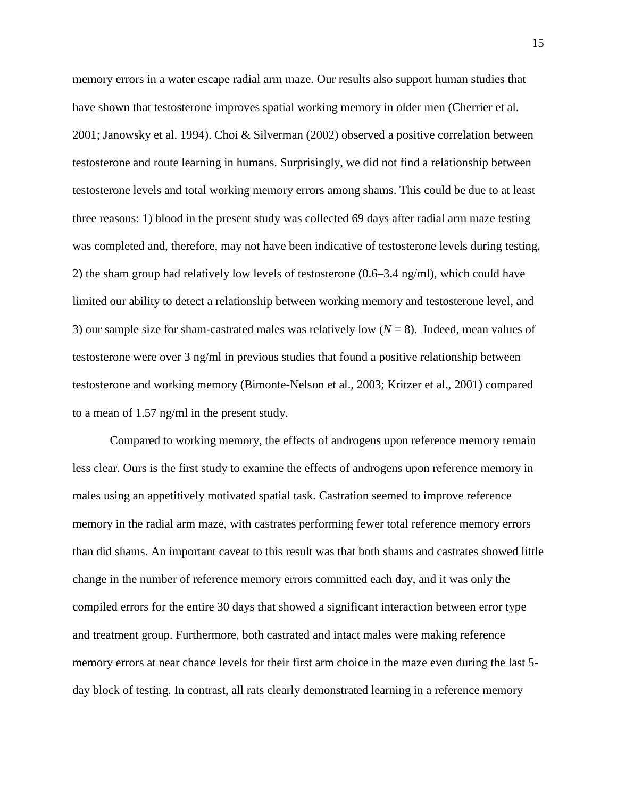memory errors in a water escape radial arm maze. Our results also support human studies that have shown that testosterone improves spatial working memory in older men (Cherrier et al. 2001; Janowsky et al. 1994). Choi & Silverman (2002) observed a positive correlation between testosterone and route learning in humans. Surprisingly, we did not find a relationship between testosterone levels and total working memory errors among shams. This could be due to at least three reasons: 1) blood in the present study was collected 69 days after radial arm maze testing was completed and, therefore, may not have been indicative of testosterone levels during testing, 2) the sham group had relatively low levels of testosterone (0.6–3.4 ng/ml), which could have limited our ability to detect a relationship between working memory and testosterone level, and 3) our sample size for sham-castrated males was relatively low (*N* = 8). Indeed, mean values of testosterone were over 3 ng/ml in previous studies that found a positive relationship between testosterone and working memory (Bimonte-Nelson et al., 2003; Kritzer et al., 2001) compared to a mean of 1.57 ng/ml in the present study.

Compared to working memory, the effects of androgens upon reference memory remain less clear. Ours is the first study to examine the effects of androgens upon reference memory in males using an appetitively motivated spatial task. Castration seemed to improve reference memory in the radial arm maze, with castrates performing fewer total reference memory errors than did shams. An important caveat to this result was that both shams and castrates showed little change in the number of reference memory errors committed each day, and it was only the compiled errors for the entire 30 days that showed a significant interaction between error type and treatment group. Furthermore, both castrated and intact males were making reference memory errors at near chance levels for their first arm choice in the maze even during the last 5 day block of testing. In contrast, all rats clearly demonstrated learning in a reference memory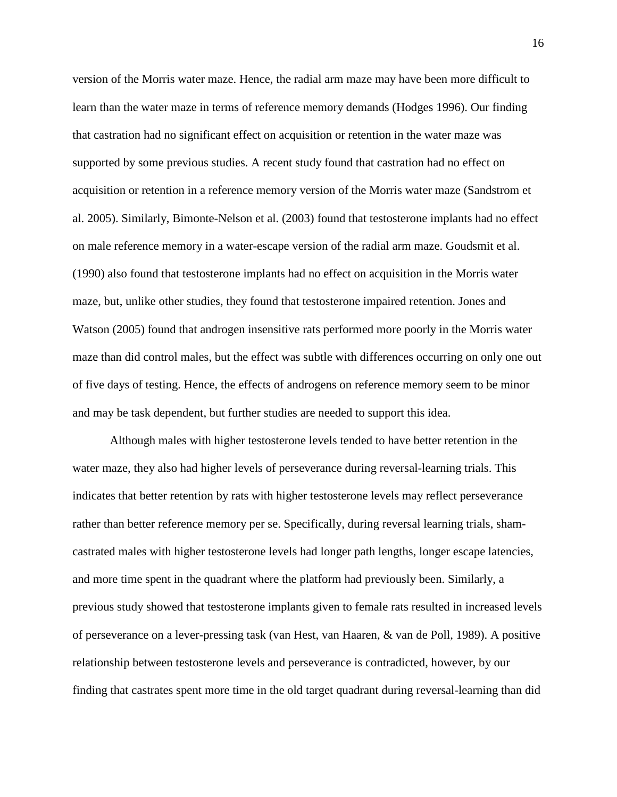version of the Morris water maze. Hence, the radial arm maze may have been more difficult to learn than the water maze in terms of reference memory demands (Hodges 1996). Our finding that castration had no significant effect on acquisition or retention in the water maze was supported by some previous studies. A recent study found that castration had no effect on acquisition or retention in a reference memory version of the Morris water maze (Sandstrom et al. 2005). Similarly, Bimonte-Nelson et al. (2003) found that testosterone implants had no effect on male reference memory in a water-escape version of the radial arm maze. Goudsmit et al. (1990) also found that testosterone implants had no effect on acquisition in the Morris water maze, but, unlike other studies, they found that testosterone impaired retention. Jones and Watson (2005) found that androgen insensitive rats performed more poorly in the Morris water maze than did control males, but the effect was subtle with differences occurring on only one out of five days of testing. Hence, the effects of androgens on reference memory seem to be minor and may be task dependent, but further studies are needed to support this idea.

Although males with higher testosterone levels tended to have better retention in the water maze, they also had higher levels of perseverance during reversal-learning trials. This indicates that better retention by rats with higher testosterone levels may reflect perseverance rather than better reference memory per se. Specifically, during reversal learning trials, shamcastrated males with higher testosterone levels had longer path lengths, longer escape latencies, and more time spent in the quadrant where the platform had previously been. Similarly, a previous study showed that testosterone implants given to female rats resulted in increased levels of perseverance on a lever-pressing task (van Hest, van Haaren, & van de Poll, 1989). A positive relationship between testosterone levels and perseverance is contradicted, however, by our finding that castrates spent more time in the old target quadrant during reversal-learning than did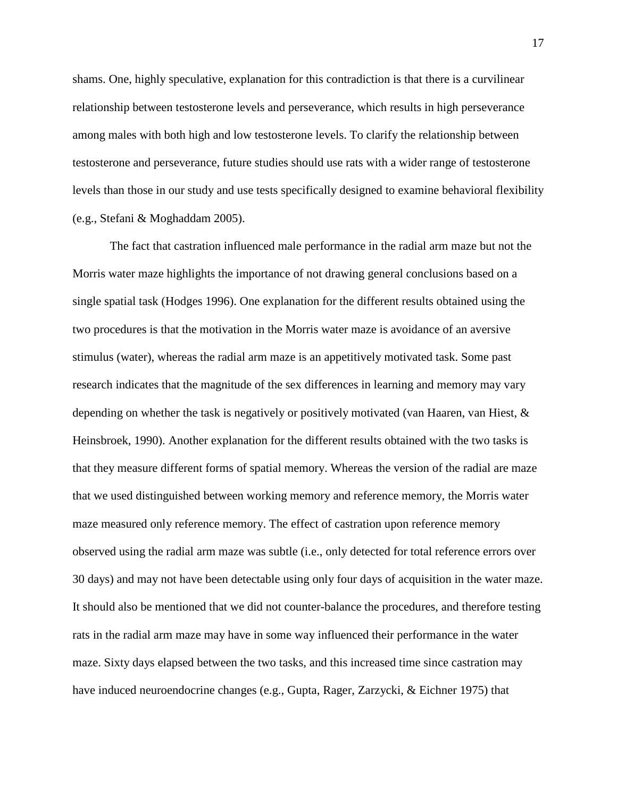shams. One, highly speculative, explanation for this contradiction is that there is a curvilinear relationship between testosterone levels and perseverance, which results in high perseverance among males with both high and low testosterone levels. To clarify the relationship between testosterone and perseverance, future studies should use rats with a wider range of testosterone levels than those in our study and use tests specifically designed to examine behavioral flexibility (e.g., Stefani & Moghaddam 2005).

The fact that castration influenced male performance in the radial arm maze but not the Morris water maze highlights the importance of not drawing general conclusions based on a single spatial task (Hodges 1996). One explanation for the different results obtained using the two procedures is that the motivation in the Morris water maze is avoidance of an aversive stimulus (water), whereas the radial arm maze is an appetitively motivated task. Some past research indicates that the magnitude of the sex differences in learning and memory may vary depending on whether the task is negatively or positively motivated (van Haaren, van Hiest, & Heinsbroek, 1990). Another explanation for the different results obtained with the two tasks is that they measure different forms of spatial memory. Whereas the version of the radial are maze that we used distinguished between working memory and reference memory, the Morris water maze measured only reference memory. The effect of castration upon reference memory observed using the radial arm maze was subtle (i.e., only detected for total reference errors over 30 days) and may not have been detectable using only four days of acquisition in the water maze. It should also be mentioned that we did not counter-balance the procedures, and therefore testing rats in the radial arm maze may have in some way influenced their performance in the water maze. Sixty days elapsed between the two tasks, and this increased time since castration may have induced neuroendocrine changes (e.g., Gupta, Rager, Zarzycki, & Eichner 1975) that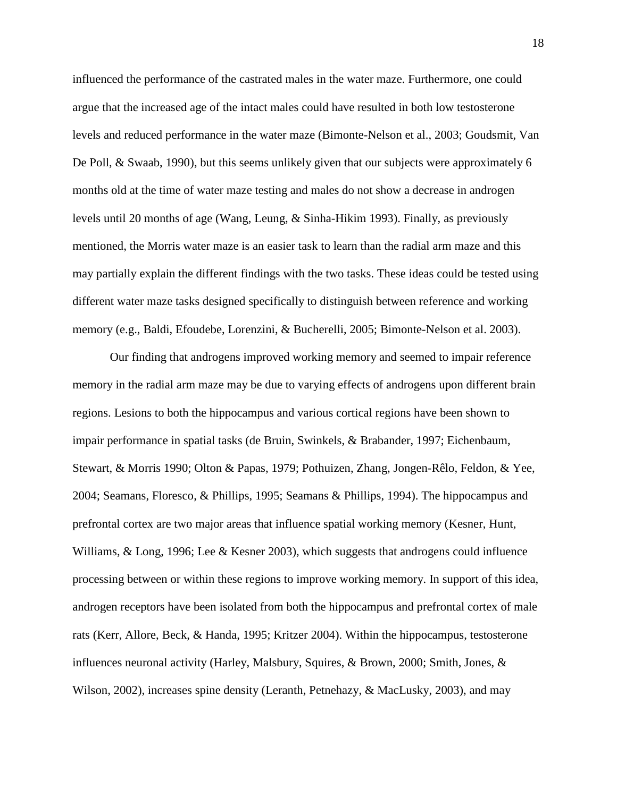influenced the performance of the castrated males in the water maze. Furthermore, one could argue that the increased age of the intact males could have resulted in both low testosterone levels and reduced performance in the water maze (Bimonte-Nelson et al., 2003; Goudsmit, Van De Poll, & Swaab, 1990), but this seems unlikely given that our subjects were approximately 6 months old at the time of water maze testing and males do not show a decrease in androgen levels until 20 months of age (Wang, Leung, & Sinha-Hikim 1993). Finally, as previously mentioned, the Morris water maze is an easier task to learn than the radial arm maze and this may partially explain the different findings with the two tasks. These ideas could be tested using different water maze tasks designed specifically to distinguish between reference and working memory (e.g., Baldi, Efoudebe, Lorenzini, & Bucherelli, 2005; Bimonte-Nelson et al. 2003).

Our finding that androgens improved working memory and seemed to impair reference memory in the radial arm maze may be due to varying effects of androgens upon different brain regions. Lesions to both the hippocampus and various cortical regions have been shown to impair performance in spatial tasks (de Bruin, Swinkels, & Brabander, 1997; Eichenbaum, Stewart, & Morris 1990; Olton & Papas, 1979; Pothuizen, Zhang, Jongen-Rêlo, Feldon, & Yee, 2004; Seamans, Floresco, & Phillips, 1995; Seamans & Phillips, 1994). The hippocampus and prefrontal cortex are two major areas that influence spatial working memory (Kesner, Hunt, Williams, & Long, 1996; Lee & Kesner 2003), which suggests that androgens could influence processing between or within these regions to improve working memory. In support of this idea, androgen receptors have been isolated from both the hippocampus and prefrontal cortex of male rats (Kerr, Allore, Beck, & Handa, 1995; Kritzer 2004). Within the hippocampus, testosterone influences neuronal activity (Harley, Malsbury, Squires, & Brown, 2000; Smith, Jones, & Wilson, 2002), increases spine density (Leranth, Petnehazy, & MacLusky, 2003), and may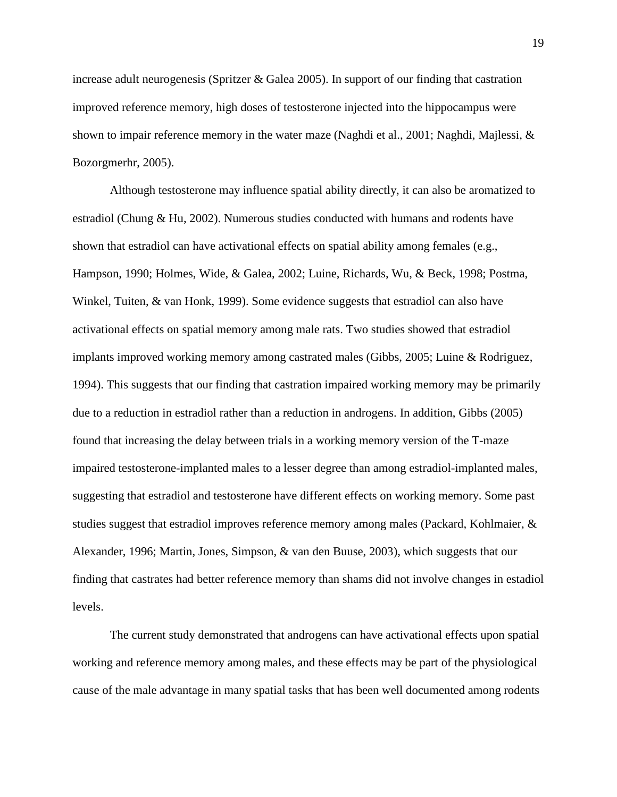increase adult neurogenesis (Spritzer & Galea 2005). In support of our finding that castration improved reference memory, high doses of testosterone injected into the hippocampus were shown to impair reference memory in the water maze (Naghdi et al., 2001; Naghdi, Majlessi, & Bozorgmerhr, 2005).

Although testosterone may influence spatial ability directly, it can also be aromatized to estradiol (Chung & Hu, 2002). Numerous studies conducted with humans and rodents have shown that estradiol can have activational effects on spatial ability among females (e.g., Hampson, 1990; Holmes, Wide, & Galea, 2002; Luine, Richards, Wu, & Beck, 1998; Postma, Winkel, Tuiten, & van Honk, 1999). Some evidence suggests that estradiol can also have activational effects on spatial memory among male rats. Two studies showed that estradiol implants improved working memory among castrated males (Gibbs, 2005; Luine & Rodriguez, 1994). This suggests that our finding that castration impaired working memory may be primarily due to a reduction in estradiol rather than a reduction in androgens. In addition, Gibbs (2005) found that increasing the delay between trials in a working memory version of the T-maze impaired testosterone-implanted males to a lesser degree than among estradiol-implanted males, suggesting that estradiol and testosterone have different effects on working memory. Some past studies suggest that estradiol improves reference memory among males (Packard, Kohlmaier, & Alexander, 1996; Martin, Jones, Simpson, & van den Buuse, 2003), which suggests that our finding that castrates had better reference memory than shams did not involve changes in estadiol levels.

The current study demonstrated that androgens can have activational effects upon spatial working and reference memory among males, and these effects may be part of the physiological cause of the male advantage in many spatial tasks that has been well documented among rodents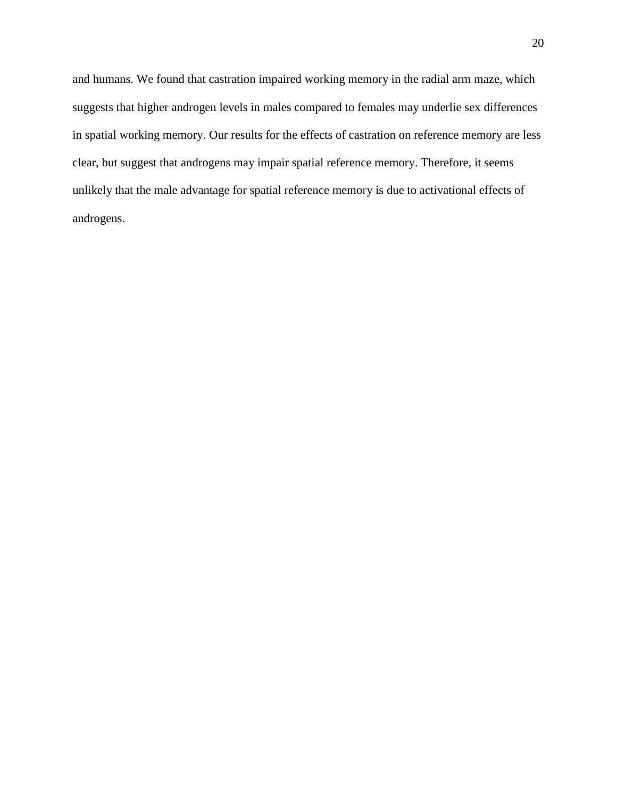and humans. We found that castration impaired working memory in the radial arm maze, which suggests that higher androgen levels in males compared to females may underlie sex differences in spatial working memory. Our results for the effects of castration on reference memory are less clear, but suggest that androgens may impair spatial reference memory. Therefore, it seems unlikely that the male advantage for spatial reference memory is due to activational effects of androgens.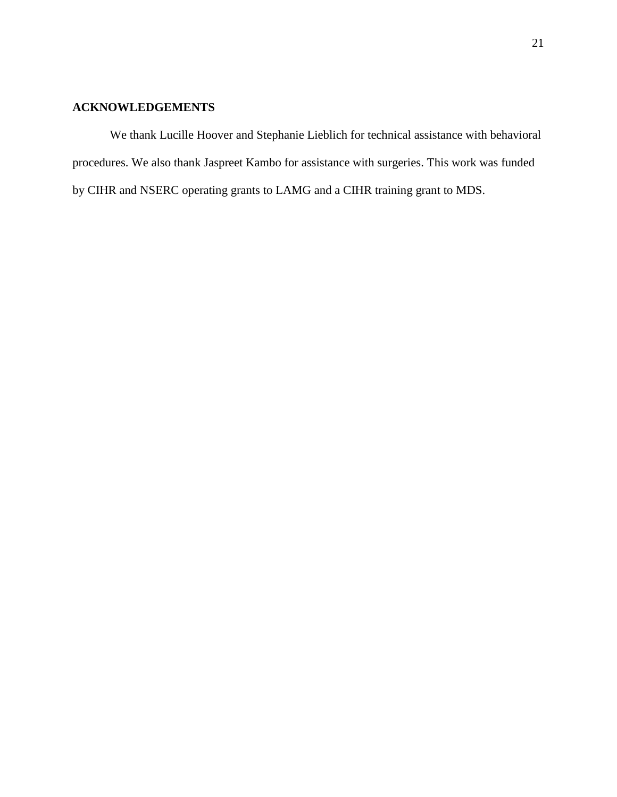# **ACKNOWLEDGEMENTS**

We thank Lucille Hoover and Stephanie Lieblich for technical assistance with behavioral procedures. We also thank Jaspreet Kambo for assistance with surgeries. This work was funded by CIHR and NSERC operating grants to LAMG and a CIHR training grant to MDS.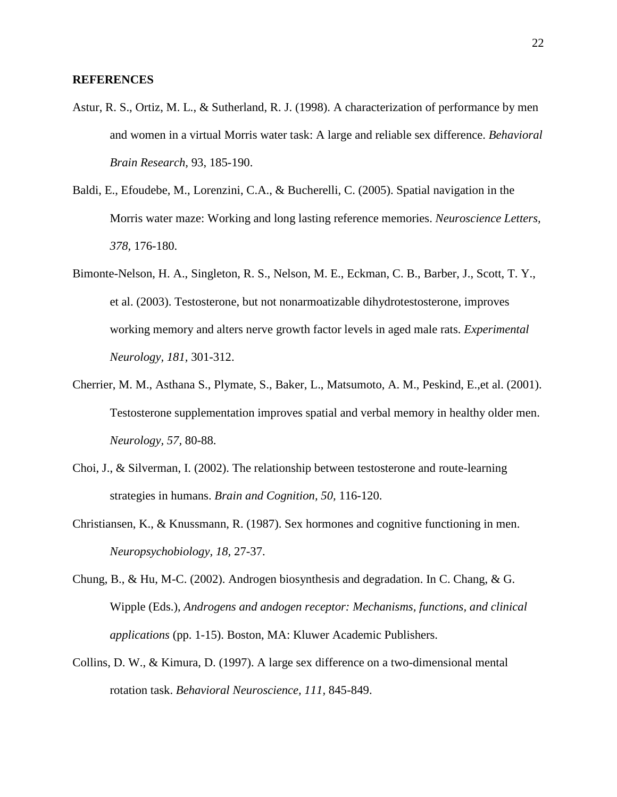- Astur, R. S., Ortiz, M. L., & Sutherland, R. J. (1998). A characterization of performance by men and women in a virtual Morris water task: A large and reliable sex difference. *Behavioral Brain Research,* 93, 185-190.
- Baldi, E., Efoudebe, M., Lorenzini, C.A., & Bucherelli, C. (2005). Spatial navigation in the Morris water maze: Working and long lasting reference memories. *Neuroscience Letters, 378,* 176-180.
- Bimonte-Nelson, H. A., Singleton, R. S., Nelson, M. E., Eckman, C. B., Barber, J., Scott, T. Y., et al. (2003). Testosterone, but not nonarmoatizable dihydrotestosterone, improves working memory and alters nerve growth factor levels in aged male rats. *Experimental Neurology, 181,* 301-312.
- Cherrier, M. M., Asthana S., Plymate, S., Baker, L., Matsumoto, A. M., Peskind, E.,et al. (2001). Testosterone supplementation improves spatial and verbal memory in healthy older men. *Neurology, 57,* 80-88.
- Choi, J., & Silverman, I. (2002). The relationship between testosterone and route-learning strategies in humans. *Brain and Cognition, 50,* 116-120.
- Christiansen, K., & Knussmann, R. (1987). Sex hormones and cognitive functioning in men. *Neuropsychobiology, 18,* 27-37.
- Chung, B., & Hu, M-C. (2002). Androgen biosynthesis and degradation. In C. Chang, & G. Wipple (Eds.), *Androgens and andogen receptor: Mechanisms, functions, and clinical applications* (pp. 1-15). Boston, MA: Kluwer Academic Publishers.
- Collins, D. W., & Kimura, D. (1997). A large sex difference on a two-dimensional mental rotation task. *Behavioral Neuroscience, 111,* 845-849.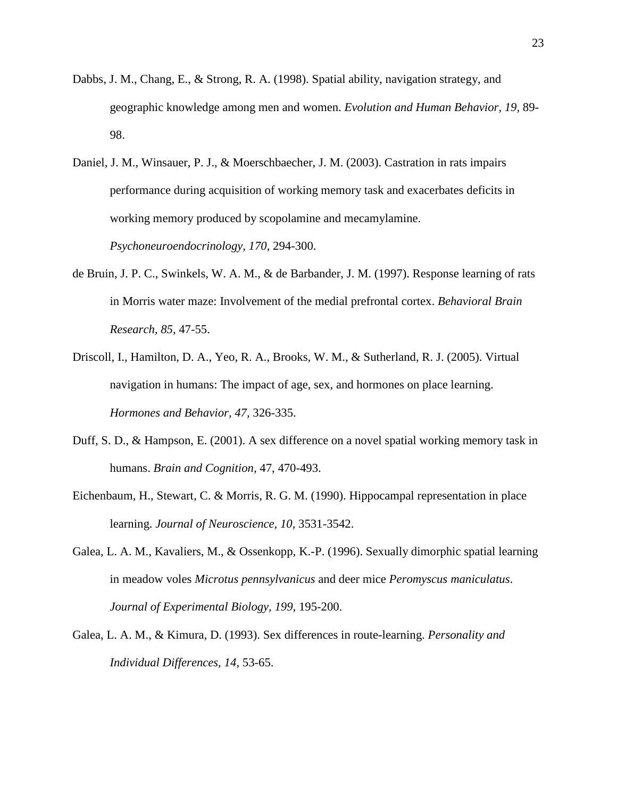- Dabbs, J. M., Chang, E., & Strong, R. A. (1998). Spatial ability, navigation strategy, and geographic knowledge among men and women. *Evolution and Human Behavior, 19,* 89- 98.
- Daniel, J. M., Winsauer, P. J., & Moerschbaecher, J. M. (2003). Castration in rats impairs performance during acquisition of working memory task and exacerbates deficits in working memory produced by scopolamine and mecamylamine. *Psychoneuroendocrinology, 170,* 294-300.
- de Bruin, J. P. C., Swinkels, W. A. M., & de Barbander, J. M. (1997). Response learning of rats in Morris water maze: Involvement of the medial prefrontal cortex. *Behavioral Brain Research, 85,* 47-55.
- Driscoll, I., Hamilton, D. A., Yeo, R. A., Brooks, W. M., & Sutherland, R. J. (2005). Virtual navigation in humans: The impact of age, sex, and hormones on place learning. *Hormones and Behavior, 47,* 326-335.
- Duff, S. D., & Hampson, E. (2001). A sex difference on a novel spatial working memory task in humans. *Brain and Cognition,* 47, 470-493.
- Eichenbaum, H., Stewart, C. & Morris, R. G. M. (1990). Hippocampal representation in place learning. *Journal of Neuroscience, 10,* 3531-3542.
- Galea, L. A. M., Kavaliers, M., & Ossenkopp, K.-P. (1996). Sexually dimorphic spatial learning in meadow voles *Microtus pennsylvanicus* and deer mice *Peromyscus maniculatus*. *Journal of Experimental Biology, 199,* 195-200.
- Galea, L. A. M., & Kimura, D. (1993). Sex differences in route-learning. *Personality and Individual Differences, 14,* 53-65.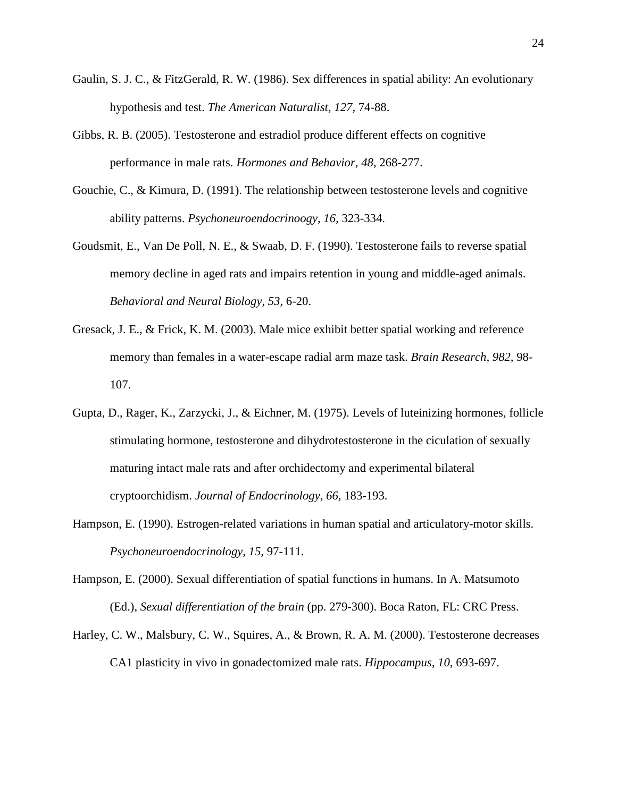- Gaulin, S. J. C., & FitzGerald, R. W. (1986). Sex differences in spatial ability: An evolutionary hypothesis and test. *The American Naturalist, 127,* 74-88.
- Gibbs, R. B. (2005). Testosterone and estradiol produce different effects on cognitive performance in male rats. *Hormones and Behavior, 48,* 268-277.
- Gouchie, C., & Kimura, D. (1991). The relationship between testosterone levels and cognitive ability patterns. *Psychoneuroendocrinoogy, 16,* 323-334.
- Goudsmit, E., Van De Poll, N. E., & Swaab, D. F. (1990). Testosterone fails to reverse spatial memory decline in aged rats and impairs retention in young and middle-aged animals. *Behavioral and Neural Biology, 53,* 6-20.
- Gresack, J. E., & Frick, K. M. (2003). Male mice exhibit better spatial working and reference memory than females in a water-escape radial arm maze task. *Brain Research, 982,* 98- 107.
- Gupta, D., Rager, K., Zarzycki, J., & Eichner, M. (1975). Levels of luteinizing hormones, follicle stimulating hormone, testosterone and dihydrotestosterone in the ciculation of sexually maturing intact male rats and after orchidectomy and experimental bilateral cryptoorchidism. *Journal of Endocrinology, 66,* 183-193.
- Hampson, E. (1990). Estrogen-related variations in human spatial and articulatory-motor skills. *Psychoneuroendocrinology, 15,* 97-111.
- Hampson, E. (2000). Sexual differentiation of spatial functions in humans. In A. Matsumoto (Ed.), *Sexual differentiation of the brain* (pp. 279-300). Boca Raton, FL: CRC Press.
- Harley, C. W., Malsbury, C. W., Squires, A., & Brown, R. A. M. (2000). Testosterone decreases CA1 plasticity in vivo in gonadectomized male rats. *Hippocampus, 10,* 693-697.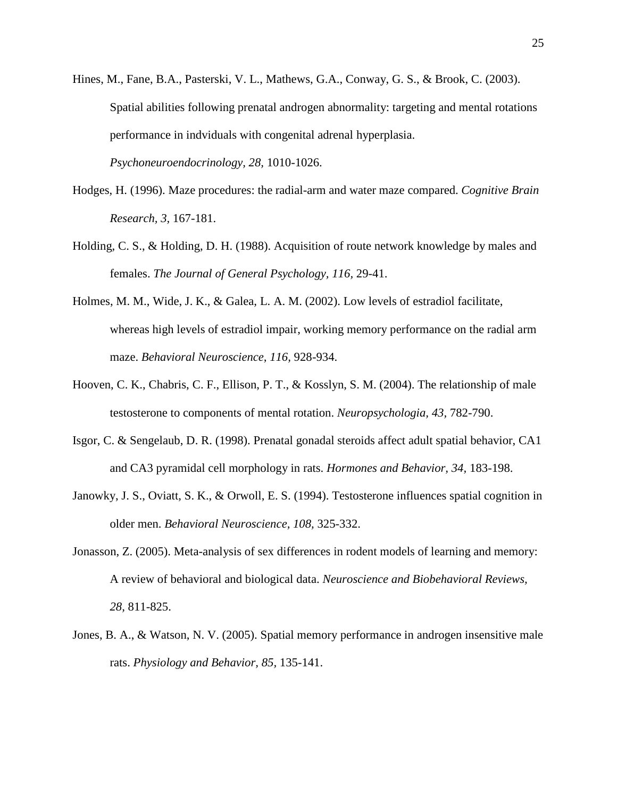Hines, M., Fane, B.A., Pasterski, V. L., Mathews, G.A., Conway, G. S., & Brook, C. (2003). Spatial abilities following prenatal androgen abnormality: targeting and mental rotations performance in indviduals with congenital adrenal hyperplasia.

*Psychoneuroendocrinology, 28,* 1010-1026.

- Hodges, H. (1996). Maze procedures: the radial-arm and water maze compared. *Cognitive Brain Research, 3,* 167-181.
- Holding, C. S., & Holding, D. H. (1988). Acquisition of route network knowledge by males and females. *The Journal of General Psychology, 116,* 29-41.
- Holmes, M. M., Wide, J. K., & Galea, L. A. M. (2002). Low levels of estradiol facilitate, whereas high levels of estradiol impair, working memory performance on the radial arm maze. *Behavioral Neuroscience, 116,* 928-934.
- Hooven, C. K., Chabris, C. F., Ellison, P. T., & Kosslyn, S. M. (2004). The relationship of male testosterone to components of mental rotation. *Neuropsychologia, 43,* 782-790.
- Isgor, C. & Sengelaub, D. R. (1998). Prenatal gonadal steroids affect adult spatial behavior, CA1 and CA3 pyramidal cell morphology in rats. *Hormones and Behavior, 34,* 183-198.
- Janowky, J. S., Oviatt, S. K., & Orwoll, E. S. (1994). Testosterone influences spatial cognition in older men. *Behavioral Neuroscience, 108,* 325-332.
- Jonasson, Z. (2005). Meta-analysis of sex differences in rodent models of learning and memory: A review of behavioral and biological data. *Neuroscience and Biobehavioral Reviews, 28,* 811-825.
- Jones, B. A., & Watson, N. V. (2005). Spatial memory performance in androgen insensitive male rats. *Physiology and Behavior, 85,* 135-141.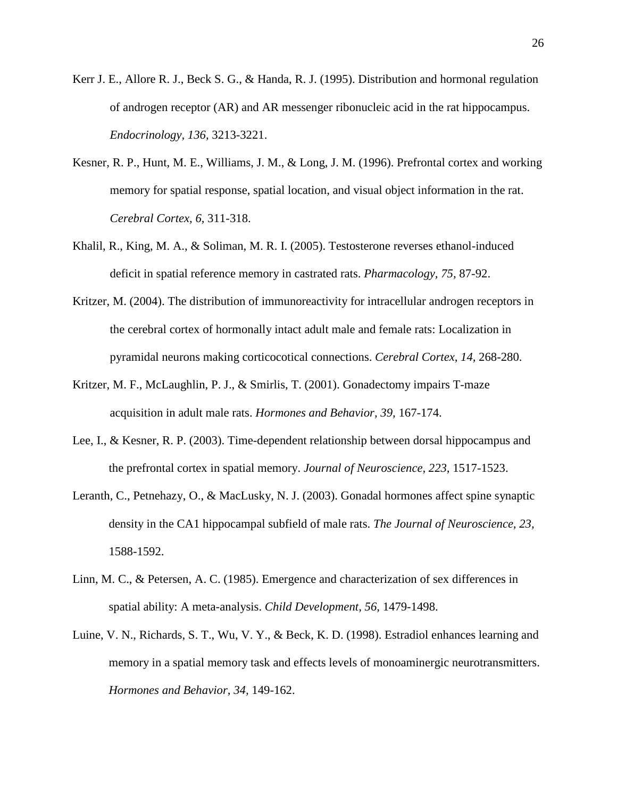- Kerr J. E., Allore R. J., Beck S. G., & Handa, R. J. (1995). Distribution and hormonal regulation of androgen receptor (AR) and AR messenger ribonucleic acid in the rat hippocampus. *Endocrinology, 136,* 3213-3221.
- Kesner, R. P., Hunt, M. E., Williams, J. M., & Long, J. M. (1996). Prefrontal cortex and working memory for spatial response, spatial location, and visual object information in the rat. *Cerebral Cortex, 6,* 311-318.
- Khalil, R., King, M. A., & Soliman, M. R. I. (2005). Testosterone reverses ethanol-induced deficit in spatial reference memory in castrated rats. *Pharmacology, 75,* 87-92.
- Kritzer, M. (2004). The distribution of immunoreactivity for intracellular androgen receptors in the cerebral cortex of hormonally intact adult male and female rats: Localization in pyramidal neurons making corticocotical connections. *Cerebral Cortex, 14,* 268-280.
- Kritzer, M. F., McLaughlin, P. J., & Smirlis, T. (2001). Gonadectomy impairs T-maze acquisition in adult male rats. *Hormones and Behavior, 39,* 167-174.
- Lee, I., & Kesner, R. P. (2003). Time-dependent relationship between dorsal hippocampus and the prefrontal cortex in spatial memory. *Journal of Neuroscience, 223,* 1517-1523.
- Leranth, C., Petnehazy, O., & MacLusky, N. J. (2003). Gonadal hormones affect spine synaptic density in the CA1 hippocampal subfield of male rats. *The Journal of Neuroscience, 23,* 1588-1592.
- Linn, M. C., & Petersen, A. C. (1985). Emergence and characterization of sex differences in spatial ability: A meta-analysis. *Child Development, 56,* 1479-1498.
- Luine, V. N., Richards, S. T., Wu, V. Y., & Beck, K. D. (1998). Estradiol enhances learning and memory in a spatial memory task and effects levels of monoaminergic neurotransmitters. *Hormones and Behavior, 34,* 149-162.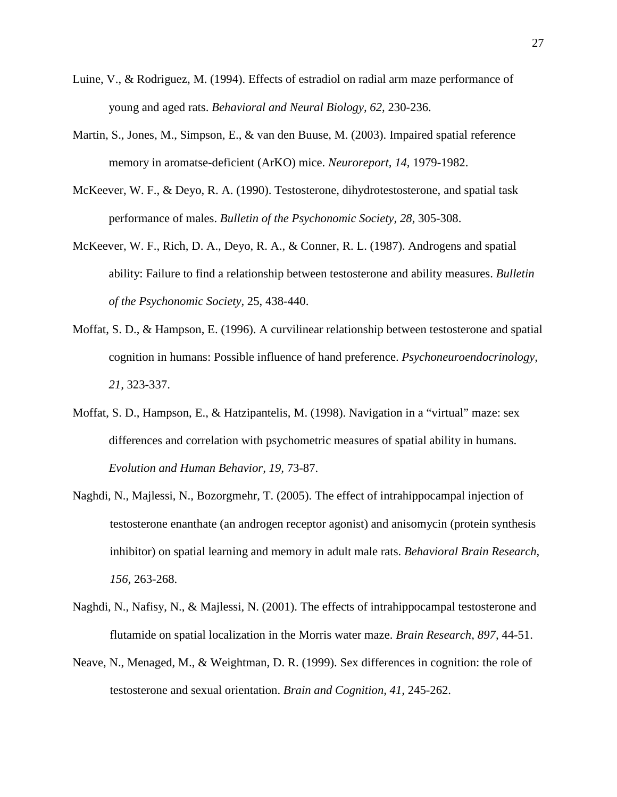- Luine, V., & Rodriguez, M. (1994). Effects of estradiol on radial arm maze performance of young and aged rats. *Behavioral and Neural Biology, 62,* 230-236.
- Martin, S., Jones, M., Simpson, E., & van den Buuse, M. (2003). Impaired spatial reference memory in aromatse-deficient (ArKO) mice. *Neuroreport, 14,* 1979-1982.
- McKeever, W. F., & Deyo, R. A. (1990). Testosterone, dihydrotestosterone, and spatial task performance of males. *Bulletin of the Psychonomic Society, 28,* 305-308.
- McKeever, W. F., Rich, D. A., Deyo, R. A., & Conner, R. L. (1987). Androgens and spatial ability: Failure to find a relationship between testosterone and ability measures. *Bulletin of the Psychonomic Society,* 25, 438-440.
- Moffat, S. D., & Hampson, E. (1996). A curvilinear relationship between testosterone and spatial cognition in humans: Possible influence of hand preference. *Psychoneuroendocrinology, 21,* 323-337.
- Moffat, S. D., Hampson, E., & Hatzipantelis, M. (1998). Navigation in a "virtual" maze: sex differences and correlation with psychometric measures of spatial ability in humans. *Evolution and Human Behavior, 19,* 73-87.
- Naghdi, N., Majlessi, N., Bozorgmehr, T. (2005). The effect of intrahippocampal injection of testosterone enanthate (an androgen receptor agonist) and anisomycin (protein synthesis inhibitor) on spatial learning and memory in adult male rats. *Behavioral Brain Research, 156,* 263-268.
- Naghdi, N., Nafisy, N., & Majlessi, N. (2001). The effects of intrahippocampal testosterone and flutamide on spatial localization in the Morris water maze. *Brain Research, 897,* 44-51.
- Neave, N., Menaged, M., & Weightman, D. R. (1999). Sex differences in cognition: the role of testosterone and sexual orientation. *Brain and Cognition, 41,* 245-262.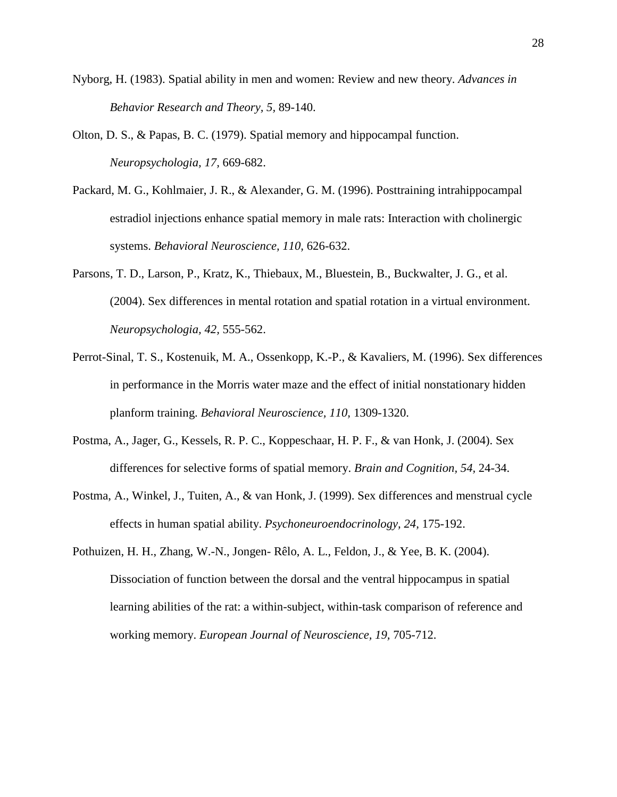- Nyborg, H. (1983). Spatial ability in men and women: Review and new theory. *Advances in Behavior Research and Theory, 5,* 89-140.
- Olton, D. S., & Papas, B. C. (1979). Spatial memory and hippocampal function. *Neuropsychologia, 17,* 669-682.
- Packard, M. G., Kohlmaier, J. R., & Alexander, G. M. (1996). Posttraining intrahippocampal estradiol injections enhance spatial memory in male rats: Interaction with cholinergic systems. *Behavioral Neuroscience, 110,* 626-632.
- Parsons, T. D., Larson, P., Kratz, K., Thiebaux, M., Bluestein, B., Buckwalter, J. G., et al. (2004). Sex differences in mental rotation and spatial rotation in a virtual environment. *Neuropsychologia, 42,* 555-562.
- Perrot-Sinal, T. S., Kostenuik, M. A., Ossenkopp, K.-P., & Kavaliers, M. (1996). Sex differences in performance in the Morris water maze and the effect of initial nonstationary hidden planform training. *Behavioral Neuroscience, 110,* 1309-1320.
- Postma, A., Jager, G., Kessels, R. P. C., Koppeschaar, H. P. F., & van Honk, J. (2004). Sex differences for selective forms of spatial memory. *Brain and Cognition, 54,* 24-34.
- Postma, A., Winkel, J., Tuiten, A., & van Honk, J. (1999). Sex differences and menstrual cycle effects in human spatial ability. *Psychoneuroendocrinology, 24,* 175-192.
- Pothuizen, H. H., Zhang, W.-N., Jongen- Rêlo, A. L., Feldon, J., & Yee, B. K. (2004). Dissociation of function between the dorsal and the ventral hippocampus in spatial learning abilities of the rat: a within-subject, within-task comparison of reference and working memory. *European Journal of Neuroscience, 19,* 705-712.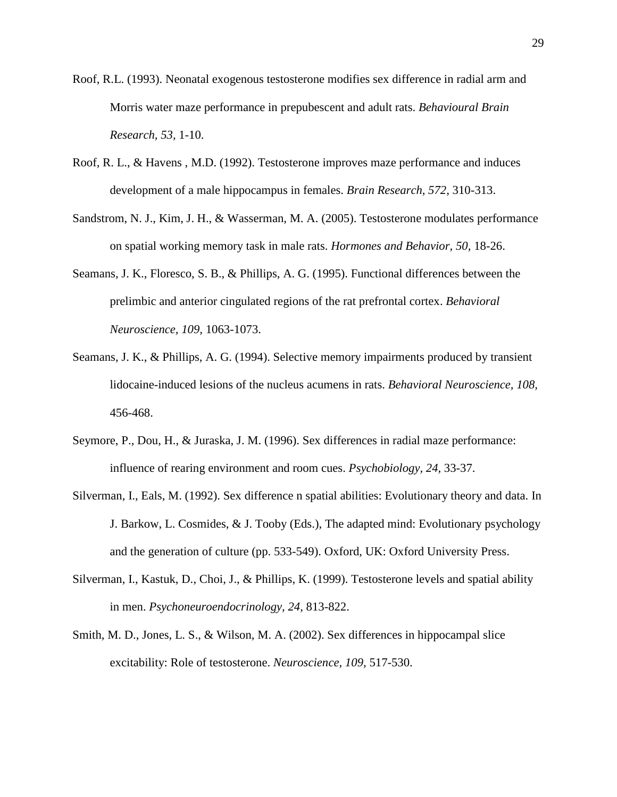- Roof, R.L. (1993). Neonatal exogenous testosterone modifies sex difference in radial arm and Morris water maze performance in prepubescent and adult rats. *Behavioural Brain Research, 53,* 1-10.
- Roof, R. L., & Havens , M.D. (1992). Testosterone improves maze performance and induces development of a male hippocampus in females. *Brain Research, 572,* 310-313.
- Sandstrom, N. J., Kim, J. H., & Wasserman, M. A. (2005). Testosterone modulates performance on spatial working memory task in male rats. *Hormones and Behavior, 50,* 18-26.
- Seamans, J. K., Floresco, S. B., & Phillips, A. G. (1995). Functional differences between the prelimbic and anterior cingulated regions of the rat prefrontal cortex. *Behavioral Neuroscience, 109,* 1063-1073.
- Seamans, J. K., & Phillips, A. G. (1994). Selective memory impairments produced by transient lidocaine-induced lesions of the nucleus acumens in rats. *Behavioral Neuroscience, 108,*  456-468.
- Seymore, P., Dou, H., & Juraska, J. M. (1996). Sex differences in radial maze performance: influence of rearing environment and room cues. *Psychobiology, 24,* 33-37.
- Silverman, I., Eals, M. (1992). Sex difference n spatial abilities: Evolutionary theory and data. In J. Barkow, L. Cosmides, & J. Tooby (Eds.), The adapted mind: Evolutionary psychology and the generation of culture (pp. 533-549). Oxford, UK: Oxford University Press.
- Silverman, I., Kastuk, D., Choi, J., & Phillips, K. (1999). Testosterone levels and spatial ability in men. *Psychoneuroendocrinology, 24,* 813-822.
- Smith, M. D., Jones, L. S., & Wilson, M. A. (2002). Sex differences in hippocampal slice excitability: Role of testosterone. *Neuroscience, 109,* 517-530.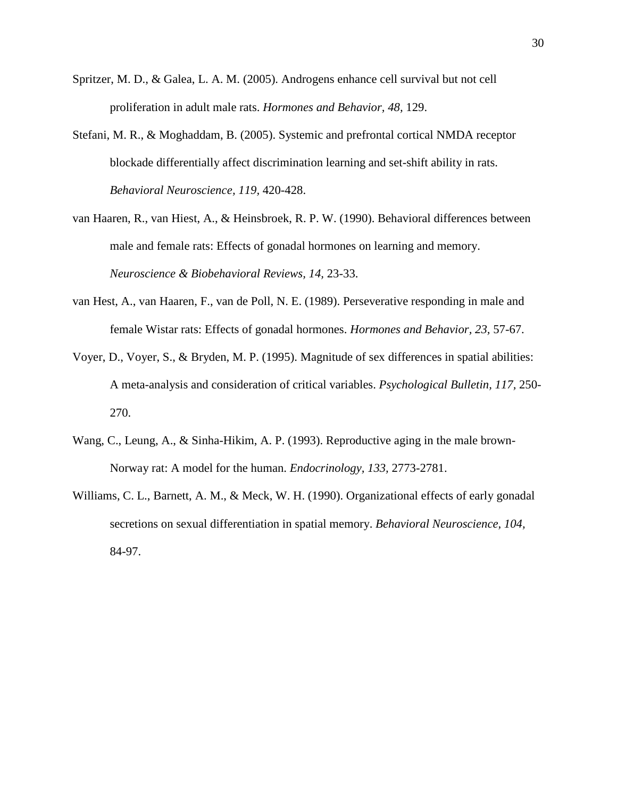- Spritzer, M. D., & Galea, L. A. M. (2005). Androgens enhance cell survival but not cell proliferation in adult male rats. *Hormones and Behavior, 48,* 129.
- Stefani, M. R., & Moghaddam, B. (2005). Systemic and prefrontal cortical NMDA receptor blockade differentially affect discrimination learning and set-shift ability in rats. *Behavioral Neuroscience, 119,* 420-428.
- van Haaren, R., van Hiest, A., & Heinsbroek, R. P. W. (1990). Behavioral differences between male and female rats: Effects of gonadal hormones on learning and memory. *Neuroscience & Biobehavioral Reviews, 14,* 23-33.
- van Hest, A., van Haaren, F., van de Poll, N. E. (1989). Perseverative responding in male and female Wistar rats: Effects of gonadal hormones. *Hormones and Behavior, 23,* 57-67.
- Voyer, D., Voyer, S., & Bryden, M. P. (1995). Magnitude of sex differences in spatial abilities: A meta-analysis and consideration of critical variables. *Psychological Bulletin, 117,* 250- 270.
- Wang, C., Leung, A., & Sinha-Hikim, A. P. (1993). Reproductive aging in the male brown-Norway rat: A model for the human. *Endocrinology, 133,* 2773-2781.
- Williams, C. L., Barnett, A. M., & Meck, W. H. (1990). Organizational effects of early gonadal secretions on sexual differentiation in spatial memory. *Behavioral Neuroscience, 104,*  84-97.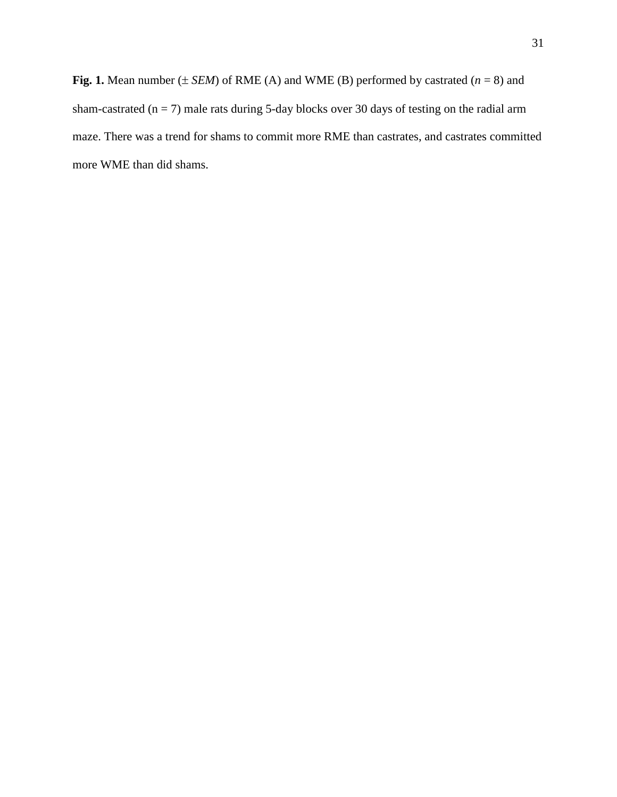**Fig. 1.** Mean number  $(\pm$  *SEM*) of RME (A) and WME (B) performed by castrated  $(n = 8)$  and sham-castrated ( $n = 7$ ) male rats during 5-day blocks over 30 days of testing on the radial arm maze. There was a trend for shams to commit more RME than castrates, and castrates committed more WME than did shams.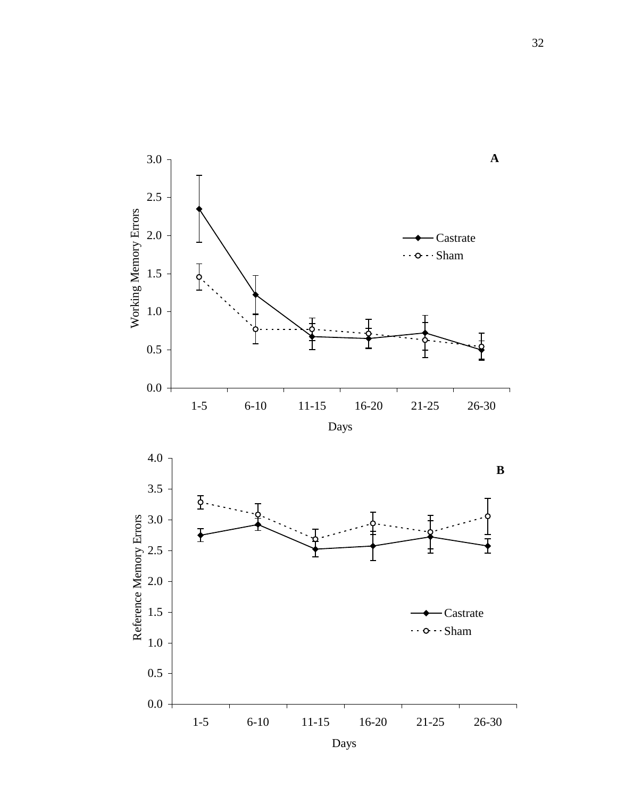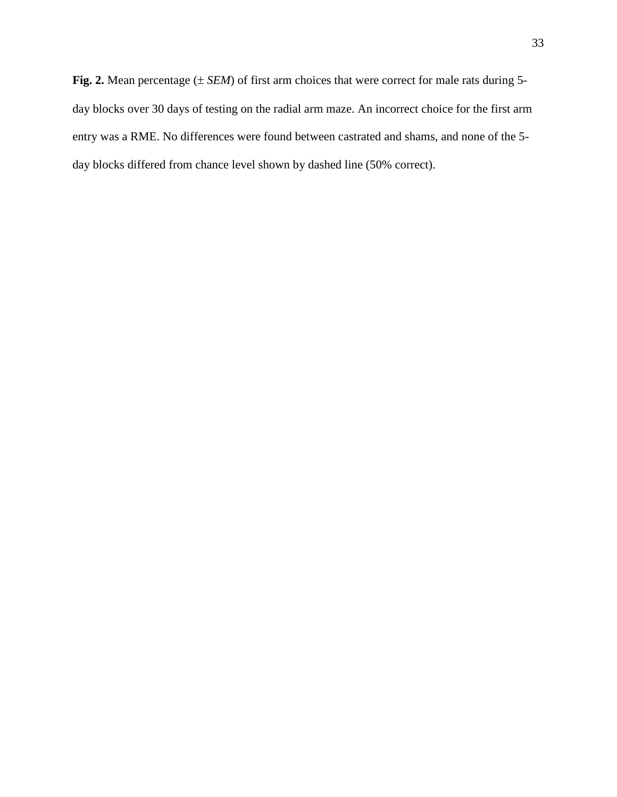**Fig. 2.** Mean percentage (± *SEM*) of first arm choices that were correct for male rats during 5 day blocks over 30 days of testing on the radial arm maze. An incorrect choice for the first arm entry was a RME. No differences were found between castrated and shams, and none of the 5 day blocks differed from chance level shown by dashed line (50% correct).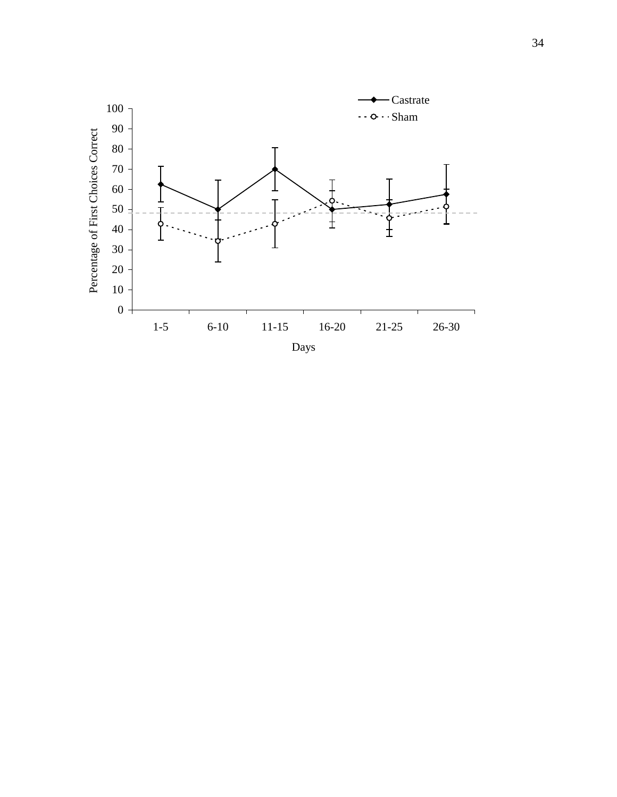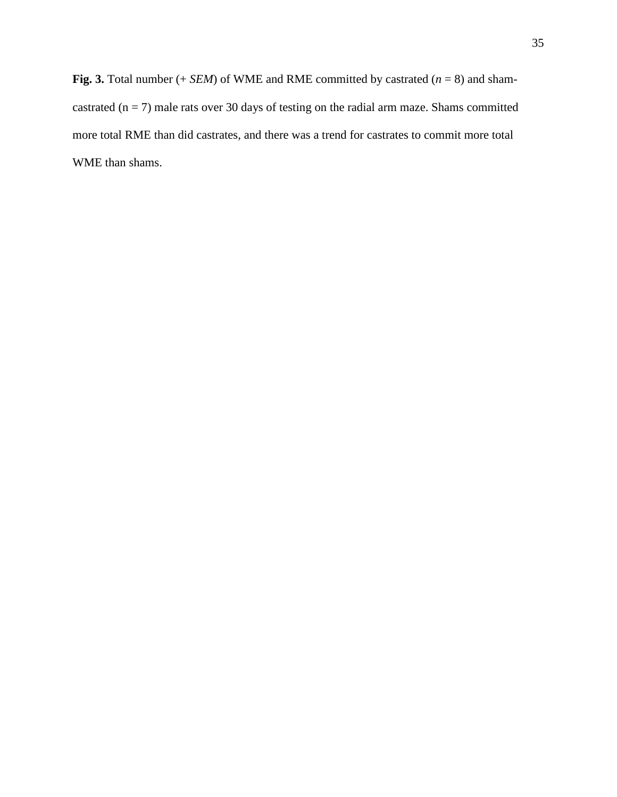**Fig. 3.** Total number  $(+$  *SEM* $)$  of WME and RME committed by castrated  $(n = 8)$  and shamcastrated  $(n = 7)$  male rats over 30 days of testing on the radial arm maze. Shams committed more total RME than did castrates, and there was a trend for castrates to commit more total WME than shams.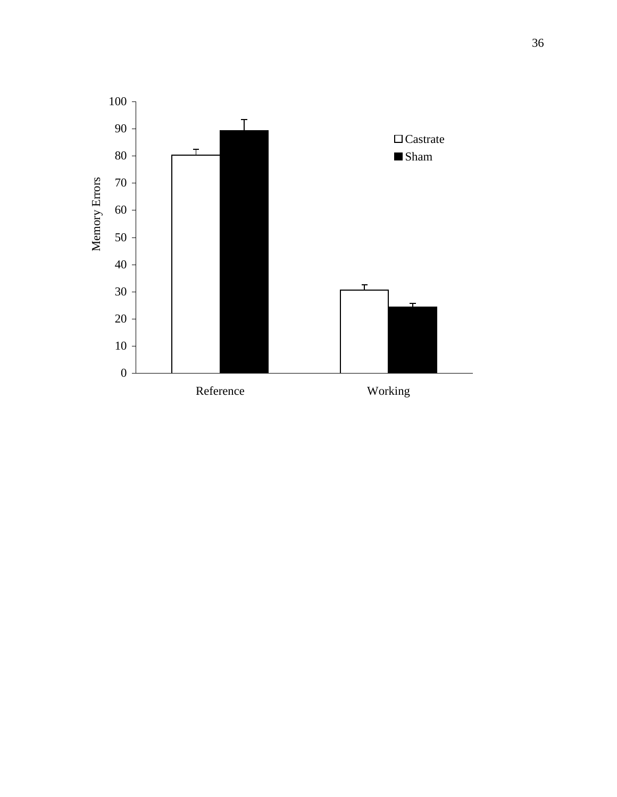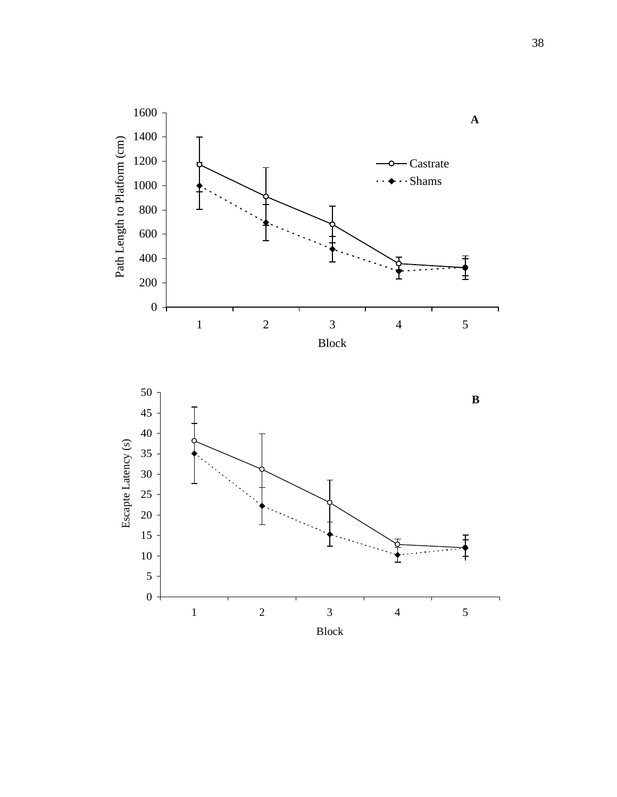

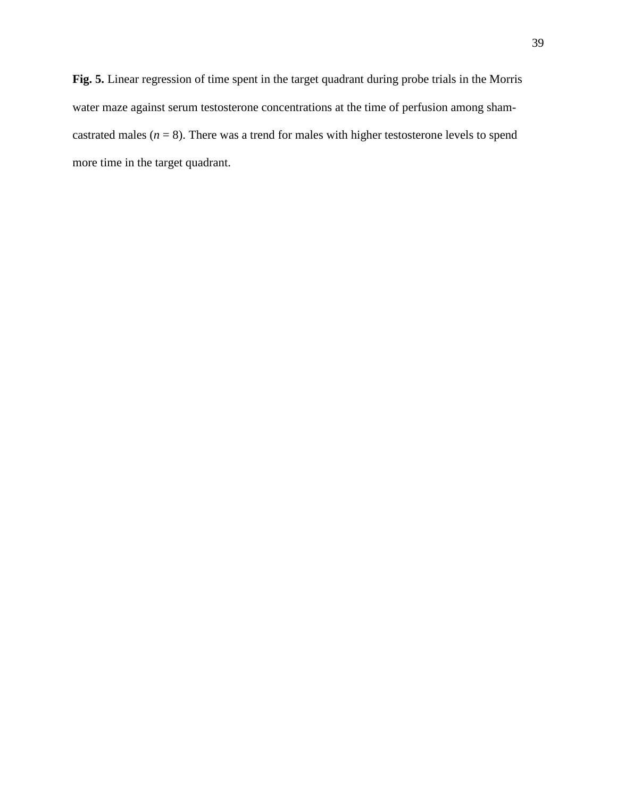**Fig. 5.** Linear regression of time spent in the target quadrant during probe trials in the Morris water maze against serum testosterone concentrations at the time of perfusion among shamcastrated males  $(n = 8)$ . There was a trend for males with higher testosterone levels to spend more time in the target quadrant.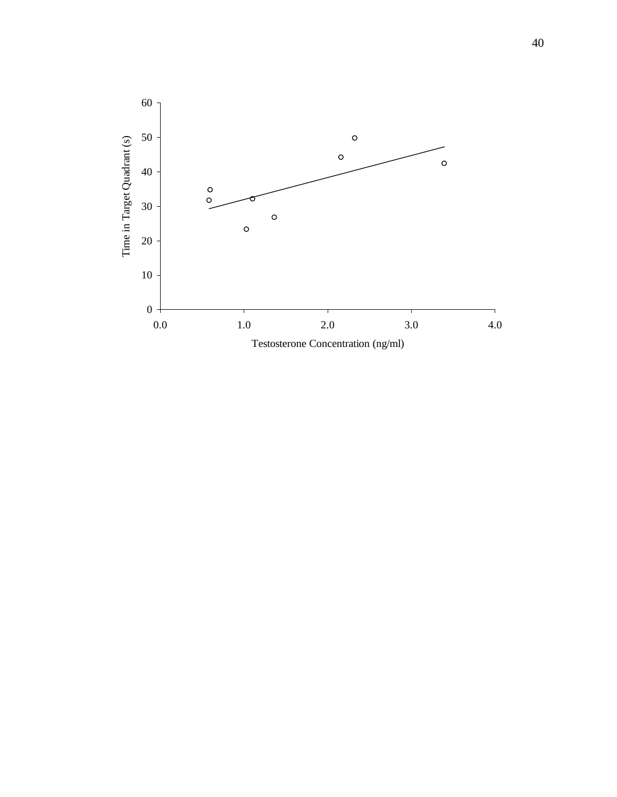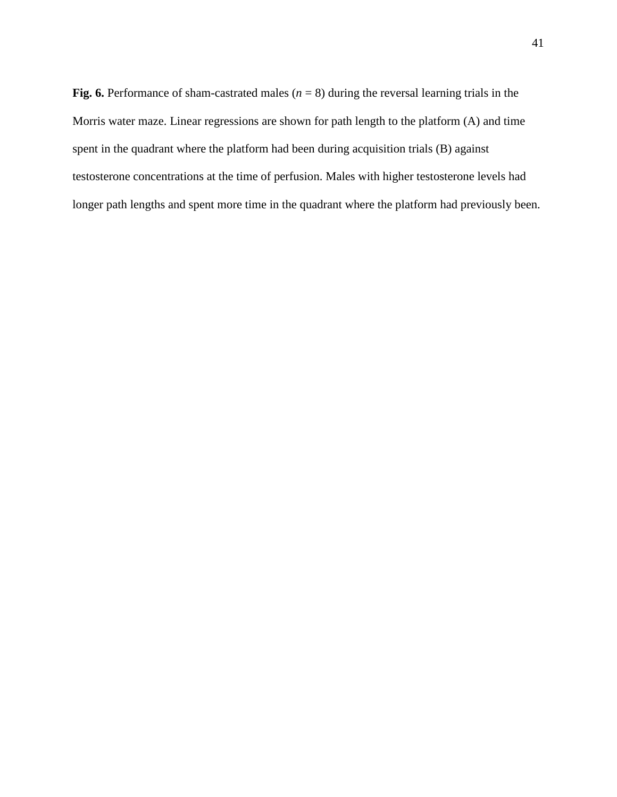**Fig. 6.** Performance of sham-castrated males  $(n = 8)$  during the reversal learning trials in the Morris water maze. Linear regressions are shown for path length to the platform (A) and time spent in the quadrant where the platform had been during acquisition trials (B) against testosterone concentrations at the time of perfusion. Males with higher testosterone levels had longer path lengths and spent more time in the quadrant where the platform had previously been.